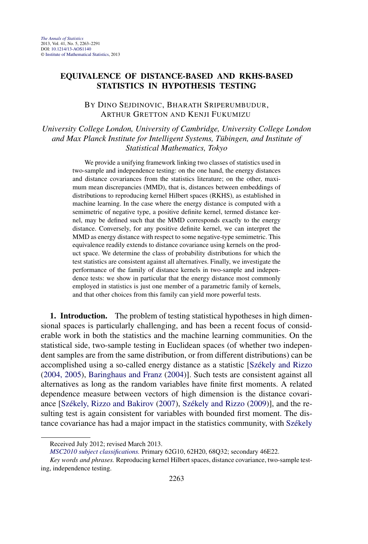# **EQUIVALENCE OF DISTANCE-BASED AND RKHS-BASED STATISTICS IN HYPOTHESIS TESTING**

# BY DINO SEJDINOVIC, BHARATH SRIPERUMBUDUR, ARTHUR GRETTON AND KENJI FUKUMIZU

*University College London, University of Cambridge, University College London and Max Planck Institute for Intelligent Systems, Tübingen, and Institute of Statistical Mathematics, Tokyo*

> We provide a unifying framework linking two classes of statistics used in two-sample and independence testing: on the one hand, the energy distances and distance covariances from the statistics literature; on the other, maximum mean discrepancies (MMD), that is, distances between embeddings of distributions to reproducing kernel Hilbert spaces (RKHS), as established in machine learning. In the case where the energy distance is computed with a semimetric of negative type, a positive definite kernel, termed distance kernel, may be defined such that the MMD corresponds exactly to the energy distance. Conversely, for any positive definite kernel, we can interpret the MMD as energy distance with respect to some negative-type semimetric. This equivalence readily extends to distance covariance using kernels on the product space. We determine the class of probability distributions for which the test statistics are consistent against all alternatives. Finally, we investigate the performance of the family of distance kernels in two-sample and independence tests: we show in particular that the energy distance most commonly employed in statistics is just one member of a parametric family of kernels, and that other choices from this family can yield more powerful tests.

**1. Introduction.** The problem of testing statistical hypotheses in high dimensional spaces is particularly challenging, and has been a recent focus of considerable work in both the statistics and the machine learning communities. On the statistical side, two-sample testing in Euclidean spaces (of whether two independent samples are from the same distribution, or from different distributions) can be accomplished using a so-called energy distance as a statistic [\[Székely and Rizzo](#page-28-0) [\(2004, 2005\)](#page-28-0), [Baringhaus and Franz](#page-27-0) [\(2004\)](#page-27-0)]. Such tests are consistent against all alternatives as long as the random variables have finite first moments. A related dependence measure between vectors of high dimension is the distance covariance [\[Székely, Rizzo and Bakirov](#page-28-0) [\(2007\)](#page-28-0), [Székely and Rizzo](#page-28-0) [\(2009\)](#page-28-0)], and the resulting test is again consistent for variables with bounded first moment. The distance covariance has had a major impact in the statistics community, with [Székely](#page-28-0)

Received July 2012; revised March 2013.

*[MSC2010 subject classifications.](http://www.ams.org/mathscinet/msc/msc2010.html)* Primary 62G10, 62H20, 68Q32; secondary 46E22.

*Key words and phrases.* Reproducing kernel Hilbert spaces, distance covariance, two-sample testing, independence testing.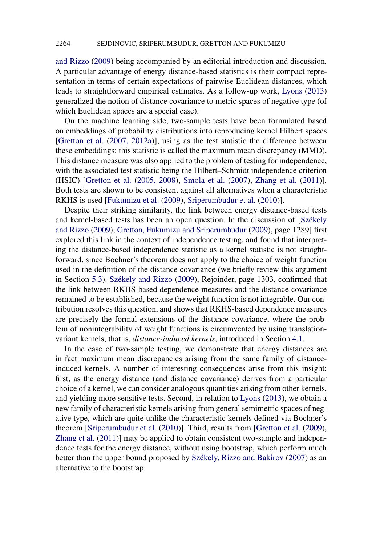[and Rizzo](#page-28-0) [\(2009\)](#page-28-0) being accompanied by an editorial introduction and discussion. A particular advantage of energy distance-based statistics is their compact representation in terms of certain expectations of pairwise Euclidean distances, which leads to straightforward empirical estimates. As a follow-up work, [Lyons](#page-27-0) [\(2013\)](#page-27-0) generalized the notion of distance covariance to metric spaces of negative type (of which Euclidean spaces are a special case).

On the machine learning side, two-sample tests have been formulated based on embeddings of probability distributions into reproducing kernel Hilbert spaces [\[Gretton et al.](#page-27-0) [\(2007, 2012a\)](#page-27-0)], using as the test statistic the difference between these embeddings: this statistic is called the maximum mean discrepancy (MMD). This distance measure was also applied to the problem of testing for independence, with the associated test statistic being the Hilbert–Schmidt independence criterion (HSIC) [\[Gretton et al.](#page-27-0) [\(2005, 2008\)](#page-27-0), [Smola et al.](#page-28-0) [\(2007\)](#page-28-0), [Zhang et al.](#page-28-0) [\(2011\)](#page-28-0)]. Both tests are shown to be consistent against all alternatives when a characteristic RKHS is used [\[Fukumizu et al.](#page-27-0) [\(2009\)](#page-27-0), [Sriperumbudur et al.](#page-28-0) [\(2010\)](#page-28-0)].

Despite their striking similarity, the link between energy distance-based tests and kernel-based tests has been an open question. In the discussion of [\[Székely](#page-28-0) [and Rizzo](#page-28-0) [\(2009\)](#page-28-0), [Gretton, Fukumizu and Sriperumbudur](#page-27-0) [\(2009\)](#page-27-0), page 1289] first explored this link in the context of independence testing, and found that interpreting the distance-based independence statistic as a kernel statistic is not straightforward, since Bochner's theorem does not apply to the choice of weight function used in the definition of the distance covariance (we briefly review this argument in Section [5.3\)](#page-16-0). [Székely and Rizzo](#page-28-0) [\(2009\)](#page-28-0), Rejoinder, page 1303, confirmed that the link between RKHS-based dependence measures and the distance covariance remained to be established, because the weight function is not integrable. Our contribution resolves this question, and shows that RKHS-based dependence measures are precisely the formal extensions of the distance covariance, where the problem of nonintegrability of weight functions is circumvented by using translationvariant kernels, that is, *distance-induced kernels*, introduced in Section [4.1.](#page-9-0)

In the case of two-sample testing, we demonstrate that energy distances are in fact maximum mean discrepancies arising from the same family of distanceinduced kernels. A number of interesting consequences arise from this insight: first, as the energy distance (and distance covariance) derives from a particular choice of a kernel, we can consider analogous quantities arising from other kernels, and yielding more sensitive tests. Second, in relation to [Lyons](#page-27-0) [\(2013\)](#page-27-0), we obtain a new family of characteristic kernels arising from general semimetric spaces of negative type, which are quite unlike the characteristic kernels defined via Bochner's theorem [\[Sriperumbudur et al.](#page-28-0) [\(2010\)](#page-28-0)]. Third, results from [\[Gretton et al.](#page-27-0) [\(2009\)](#page-27-0), [Zhang et al.](#page-28-0) [\(2011\)](#page-28-0)] may be applied to obtain consistent two-sample and independence tests for the energy distance, without using bootstrap, which perform much better than the upper bound proposed by [Székely, Rizzo and Bakirov](#page-28-0) [\(2007\)](#page-28-0) as an alternative to the bootstrap.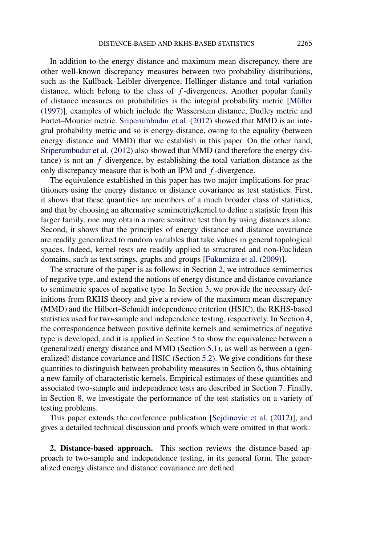<span id="page-2-0"></span>In addition to the energy distance and maximum mean discrepancy, there are other well-known discrepancy measures between two probability distributions, such as the Kullback–Leibler divergence, Hellinger distance and total variation distance, which belong to the class of *f* -divergences. Another popular family of distance measures on probabilities is the integral probability metric [\[Müller](#page-27-0) [\(1997\)](#page-27-0)], examples of which include the Wasserstein distance, Dudley metric and Fortet–Mourier metric. [Sriperumbudur et al.](#page-28-0) [\(2012\)](#page-28-0) showed that MMD is an integral probability metric and so is energy distance, owing to the equality (between energy distance and MMD) that we establish in this paper. On the other hand, [Sriperumbudur et al.](#page-28-0) [\(2012\)](#page-28-0) also showed that MMD (and therefore the energy distance) is not an *f* -divergence, by establishing the total variation distance as the only discrepancy measure that is both an IPM and *f* -divergence.

The equivalence established in this paper has two major implications for practitioners using the energy distance or distance covariance as test statistics. First, it shows that these quantities are members of a much broader class of statistics, and that by choosing an alternative semimetric/kernel to define a statistic from this larger family, one may obtain a more sensitive test than by using distances alone. Second, it shows that the principles of energy distance and distance covariance are readily generalized to random variables that take values in general topological spaces. Indeed, kernel tests are readily applied to structured and non-Euclidean domains, such as text strings, graphs and groups [\[Fukumizu et al.](#page-27-0) [\(2009\)](#page-27-0)].

The structure of the paper is as follows: in Section 2, we introduce semimetrics of negative type, and extend the notions of energy distance and distance covariance to semimetric spaces of negative type. In Section [3,](#page-6-0) we provide the necessary definitions from RKHS theory and give a review of the maximum mean discrepancy (MMD) and the Hilbert–Schmidt independence criterion (HSIC), the RKHS-based statistics used for two-sample and independence testing, respectively. In Section [4,](#page-8-0) the correspondence between positive definite kernels and semimetrics of negative type is developed, and it is applied in Section [5](#page-13-0) to show the equivalence between a (generalized) energy distance and MMD (Section [5.1\)](#page-13-0), as well as between a (generalized) distance covariance and HSIC (Section [5.2\)](#page-15-0). We give conditions for these quantities to distinguish between probability measures in Section [6,](#page-17-0) thus obtaining a new family of characteristic kernels. Empirical estimates of these quantities and associated two-sample and independence tests are described in Section [7.](#page-18-0) Finally, in Section [8,](#page-21-0) we investigate the performance of the test statistics on a variety of testing problems.

This paper extends the conference publication [\[Sejdinovic et al.](#page-28-0) [\(2012\)](#page-28-0)], and gives a detailed technical discussion and proofs which were omitted in that work.

**2. Distance-based approach.** This section reviews the distance-based approach to two-sample and independence testing, in its general form. The generalized energy distance and distance covariance are defined.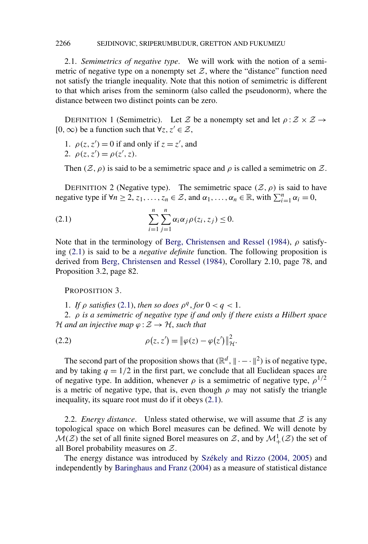### <span id="page-3-0"></span>2266 SEJDINOVIC, SRIPERUMBUDUR, GRETTON AND FUKUMIZU

2.1. *Semimetrics of negative type*. We will work with the notion of a semimetric of negative type on a nonempty set  $\mathcal{Z}$ , where the "distance" function need not satisfy the triangle inequality. Note that this notion of semimetric is different to that which arises from the seminorm (also called the pseudonorm), where the distance between two distinct points can be zero.

DEFINITION 1 (Semimetric). Let Z be a nonempty set and let  $\rho : Z \times Z \rightarrow$ [0, ∞) be a function such that  $\forall z, z' \in \mathcal{Z}$ ,

- 1.  $\rho(z, z') = 0$  if and only if  $z = z'$ , and
- 2.  $\rho(z, z') = \rho(z', z)$ .

Then  $(\mathcal{Z}, \rho)$  is said to be a semimetric space and  $\rho$  is called a semimetric on  $\mathcal{Z}$ .

DEFINITION 2 (Negative type). The semimetric space  $(\mathcal{Z}, \rho)$  is said to have negative type if  $\forall n \ge 2, z_1, \ldots, z_n \in \mathcal{Z}$ , and  $\alpha_1, \ldots, \alpha_n \in \mathbb{R}$ , with  $\sum_{i=1}^n \alpha_i = 0$ ,

(2.1) 
$$
\sum_{i=1}^n \sum_{j=1}^n \alpha_i \alpha_j \rho(z_i, z_j) \leq 0.
$$

Note that in the terminology of [Berg, Christensen and Ressel](#page-27-0) [\(1984\)](#page-27-0), *ρ* satisfying (2.1) is said to be a *negative definite* function. The following proposition is derived from [Berg, Christensen and Ressel](#page-27-0) [\(1984\)](#page-27-0), Corollary 2.10, page 78, and Proposition 3.2, page 82.

PROPOSITION 3.

1. *If*  $\rho$  *satisfies* (2.1), *then so does*  $\rho^q$ , *for*  $0 < q < 1$ .

2. *ρ is a semimetric of negative type if and only if there exists a Hilbert space H* and an injective map  $\varphi : \mathcal{Z} \to \mathcal{H}$ , such that

(2.2) 
$$
\rho(z, z') = ||\varphi(z) - \varphi(z')||_{\mathcal{H}}^2.
$$

The second part of the proposition shows that  $(\mathbb{R}^d, \| \cdot - \cdot \|^2)$  is of negative type, and by taking  $q = 1/2$  in the first part, we conclude that all Euclidean spaces are of negative type. In addition, whenever  $\rho$  is a semimetric of negative type,  $\rho^{1/2}$ is a metric of negative type, that is, even though  $\rho$  may not satisfy the triangle inequality, its square root must do if it obeys (2.1).

2.2. *Energy distance*. Unless stated otherwise, we will assume that  $\mathcal Z$  is any topological space on which Borel measures can be defined. We will denote by  $\mathcal{M}(\mathcal{Z})$  the set of all finite signed Borel measures on  $\mathcal{Z}$ , and by  $\mathcal{M}^1_+(\mathcal{Z})$  the set of all Borel probability measures on Z.

The energy distance was introduced by [Székely and Rizzo](#page-28-0) [\(2004, 2005\)](#page-28-0) and independently by [Baringhaus and Franz](#page-27-0) [\(2004\)](#page-27-0) as a measure of statistical distance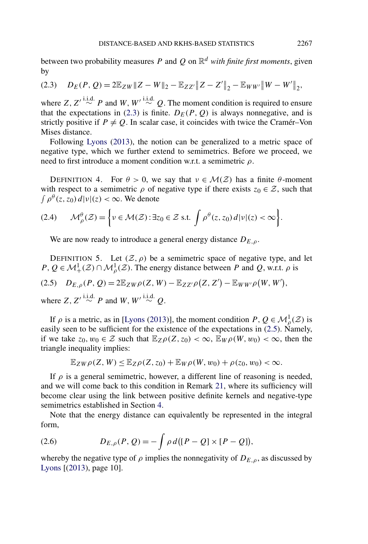<span id="page-4-0"></span>between two probability measures *P* and *Q* on  $\mathbb{R}^d$  *with finite first moments*, given by

$$
(2.3) \tD_E(P, Q) = 2\mathbb{E}_{ZW} ||Z - W||_2 - \mathbb{E}_{ZZ'} ||Z - Z'||_2 - \mathbb{E}_{WW'} ||W - W'||_2,
$$

where *Z*,  $Z' \stackrel{\text{i.i.d.}}{\sim} P$  and *W*,  $W' \stackrel{\text{i.i.d.}}{\sim} Q$ . The moment condition is required to ensure that the expectations in (2.3) is finite.  $D_E(P, Q)$  is always nonnegative, and is strictly positive if  $P \neq Q$ . In scalar case, it coincides with twice the Cramér–Von Mises distance.

Following [Lyons](#page-27-0) [\(2013\)](#page-27-0), the notion can be generalized to a metric space of negative type, which we further extend to semimetrics. Before we proceed, we need to first introduce a moment condition w.r.t. a semimetric *ρ*.

DEFINITION 4. For  $\theta > 0$ , we say that  $\nu \in \mathcal{M}(\mathcal{Z})$  has a finite  $\theta$ -moment with respect to a semimetric  $\rho$  of negative type if there exists  $z_0 \in \mathcal{Z}$ , such that  $\int \rho^{\theta}(z, z_0) d|\nu|(z) < \infty$ . We denote

$$
(2.4) \qquad \mathcal{M}^{\theta}_{\rho}(\mathcal{Z}) = \bigg\{ \nu \in \mathcal{M}(\mathcal{Z}) : \exists z_0 \in \mathcal{Z} \text{ s.t. } \int \rho^{\theta}(z, z_0) \, d|\nu|(z) < \infty \bigg\}.
$$

We are now ready to introduce a general energy distance *DE,ρ*.

DEFINITION 5. Let  $(\mathcal{Z}, \rho)$  be a semimetric space of negative type, and let  $P, Q \in \mathcal{M}^1_+(\mathcal{Z}) \cap \mathcal{M}^1_\rho(\mathcal{Z})$ . The energy distance between *P* and *Q*, w.r.t.  $\rho$  is

$$
(2.5) \quad D_{E,\rho}(P,Q) = 2\mathbb{E}_{ZW}\rho(Z,W) - \mathbb{E}_{ZZ'}\rho(Z,Z') - \mathbb{E}_{WW'}\rho(W,W'),
$$

where  $Z, Z' \stackrel{\text{i.i.d.}}{\sim} P$  and  $W, W' \stackrel{\text{i.i.d.}}{\sim} Q$ .

If  $\rho$  is a metric, as in [\[Lyons](#page-27-0) [\(2013\)](#page-27-0)], the moment condition  $P, Q \in \mathcal{M}_{\rho}^1(\mathcal{Z})$  is easily seen to be sufficient for the existence of the expectations in (2.5). Namely, if we take  $z_0, w_0 \in \mathcal{Z}$  such that  $\mathbb{E}_Z \rho(Z, z_0) < \infty$ ,  $\mathbb{E}_W \rho(W, w_0) < \infty$ , then the triangle inequality implies:

$$
\mathbb{E}_{ZW}\rho(Z,W)\leq \mathbb{E}_{Z}\rho(Z,z_0)+\mathbb{E}_{W}\rho(W,w_0)+\rho(z_0,w_0)<\infty.
$$

If  $\rho$  is a general semimetric, however, a different line of reasoning is needed, and we will come back to this condition in Remark [21,](#page-13-0) where its sufficiency will become clear using the link between positive definite kernels and negative-type semimetrics established in Section [4.](#page-8-0)

Note that the energy distance can equivalently be represented in the integral form,

(2.6) 
$$
D_{E,\rho}(P,Q) = -\int \rho \, d\big( [P - Q] \times [P - Q] \big),
$$

whereby the negative type of  $\rho$  implies the nonnegativity of  $D_{E,\rho}$ , as discussed by [Lyons](#page-27-0) [[\(2013\)](#page-27-0), page 10].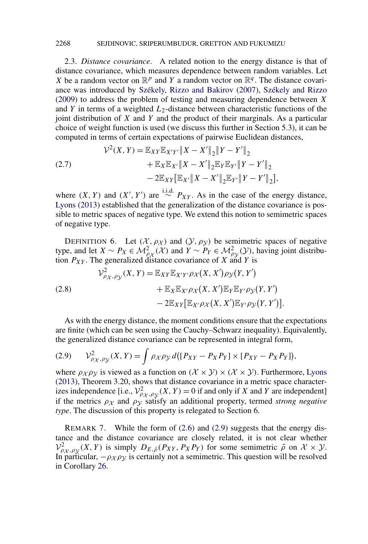### <span id="page-5-0"></span>2268 SEJDINOVIC, SRIPERUMBUDUR, GRETTON AND FUKUMIZU

2.3. *Distance covariance*. A related notion to the energy distance is that of distance covariance, which measures dependence between random variables. Let *X* be a random vector on  $\mathbb{R}^p$  and *Y* a random vector on  $\mathbb{R}^q$ . The distance covariance was introduced by [Székely, Rizzo and Bakirov](#page-28-0) [\(2007\)](#page-28-0), [Székely and Rizzo](#page-28-0) [\(2009\)](#page-28-0) to address the problem of testing and measuring dependence between *X* and *Y* in terms of a weighted  $L_2$ -distance between characteristic functions of the joint distribution of *X* and *Y* and the product of their marginals. As a particular choice of weight function is used (we discuss this further in Section [5.3\)](#page-16-0), it can be computed in terms of certain expectations of pairwise Euclidean distances,

(2.7) 
$$
\mathcal{V}^{2}(X, Y) = \mathbb{E}_{XY} \mathbb{E}_{X'Y'} ||X - X'||_{2} ||Y - Y'||_{2} + \mathbb{E}_{X} \mathbb{E}_{X'} ||X - X'||_{2} \mathbb{E}_{Y} \mathbb{E}_{Y'} ||Y - Y'||_{2} - 2\mathbb{E}_{XY} [\mathbb{E}_{X'} ||X - X'||_{2} \mathbb{E}_{Y'} ||Y - Y'||_{2}],
$$

where  $(X, Y)$  and  $(X', Y')$  are <sup>i.i.d</sup>.  $P_{XY}$ . As in the case of the energy distance, [Lyons](#page-27-0) [\(2013\)](#page-27-0) established that the generalization of the distance covariance is possible to metric spaces of negative type. We extend this notion to semimetric spaces of negative type.

DEFINITION 6. Let  $(\mathcal{X}, \rho_{\mathcal{X}})$  and  $(\mathcal{Y}, \rho_{\mathcal{Y}})$  be semimetric spaces of negative type, and let  $X \sim P_X \in M_{\rho_X}^2(\mathcal{X})$  and  $Y \sim P_Y \in M_{\rho_Y}^2(\mathcal{Y})$ , having joint distribution *PXY* . The generalized distance covariance of *X* and *Y* is

(2.8)  
\n
$$
\mathcal{V}_{\rho_{\mathcal{X}},\rho_{\mathcal{Y}}}^{2}(X,Y) = \mathbb{E}_{XY}\mathbb{E}_{X'Y'}\rho_{\mathcal{X}}(X,X')\rho_{\mathcal{Y}}(Y,Y') + \mathbb{E}_{X}\mathbb{E}_{X'}\rho_{\mathcal{X}}(X,X')\mathbb{E}_{Y}\mathbb{E}_{Y'}\rho_{\mathcal{Y}}(Y,Y') - 2\mathbb{E}_{XY}[\mathbb{E}_{X'}\rho_{\mathcal{X}}(X,X')\mathbb{E}_{Y'}\rho_{\mathcal{Y}}(Y,Y')].
$$

As with the energy distance, the moment conditions ensure that the expectations are finite (which can be seen using the Cauchy–Schwarz inequality). Equivalently, the generalized distance covariance can be represented in integral form,

$$
(2.9) \qquad \mathcal{V}^2_{\rho_X,\rho_Y}(X,Y) = \int \rho_X \rho_Y d([P_{XY}-P_X P_Y] \times [P_{XY}-P_X P_Y]),
$$

where  $\rho_X \rho_Y$  is viewed as a function on  $(\mathcal{X} \times \mathcal{Y}) \times (\mathcal{X} \times \mathcal{Y})$ . Furthermore, [Lyons](#page-27-0) [\(2013\)](#page-27-0), Theorem 3.20, shows that distance covariance in a metric space characterizes independence [i.e.,  $V^2_{\rho_X, \rho_Y}(X, Y) = 0$  if and only if *X* and *Y* are independent] if the metrics  $\rho_X$  and  $\rho_Y$  satisfy an additional property, termed *strong negative type*. The discussion of this property is relegated to Section [6.](#page-17-0)

REMARK 7. While the form of [\(2.6\)](#page-4-0) and (2.9) suggests that the energy distance and the distance covariance are closely related, it is not clear whether  $V_{\rho_X, \rho_Y}^2(X, Y)$  is simply  $D_{E, \tilde{\rho}}(P_{XY}, P_X P_Y)$  for some semimetric  $\tilde{\rho}$  on  $X \times Y$ . In particular,  $-\rho_X \rho_Y$  is certainly not a semimetric. This question will be resolved in Corollary [26.](#page-16-0)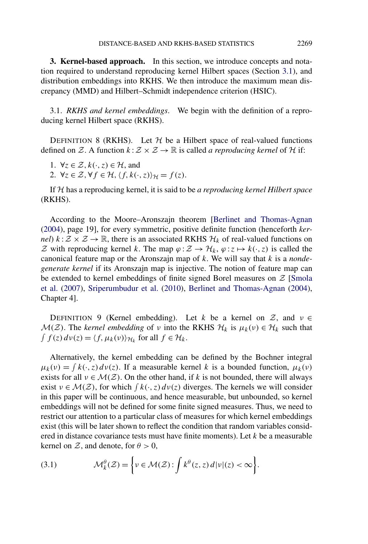<span id="page-6-0"></span>**3. Kernel-based approach.** In this section, we introduce concepts and notation required to understand reproducing kernel Hilbert spaces (Section 3.1), and distribution embeddings into RKHS. We then introduce the maximum mean discrepancy (MMD) and Hilbert–Schmidt independence criterion (HSIC).

3.1. *RKHS and kernel embeddings*. We begin with the definition of a reproducing kernel Hilbert space (RKHS).

DEFINITION 8 (RKHS). Let  $H$  be a Hilbert space of real-valued functions defined on Z. A function  $k : Z \times Z \rightarrow \mathbb{R}$  is called *a reproducing kernel* of H if:

1.  $\forall z \in \mathcal{Z}, k(\cdot, z) \in \mathcal{H}$ , and

2.  $\forall z \in \mathcal{Z}, \forall f \in \mathcal{H}, \langle f, k(\cdot, z) \rangle_{\mathcal{H}} = f(z).$ 

If H has a reproducing kernel, it is said to be *a reproducing kernel Hilbert space* (RKHS).

According to the Moore–Aronszajn theorem [\[Berlinet and Thomas-Agnan](#page-27-0) [\(2004\)](#page-27-0), page 19], for every symmetric, positive definite function (henceforth *kernel*)  $k: Z \times Z \rightarrow \mathbb{R}$ , there is an associated RKHS  $\mathcal{H}_k$  of real-valued functions on Z with reproducing kernel *k*. The map  $\varphi : \mathcal{Z} \to \mathcal{H}_k$ ,  $\varphi : z \mapsto k(\cdot, z)$  is called the canonical feature map or the Aronszajn map of *k*. We will say that *k* is a *nondegenerate kernel* if its Aronszajn map is injective. The notion of feature map can be extended to kernel embeddings of finite signed Borel measures on  $Z$  [\[Smola](#page-28-0) [et al.](#page-28-0) [\(2007\)](#page-28-0), [Sriperumbudur et al.](#page-28-0) [\(2010\)](#page-28-0), [Berlinet and Thomas-Agnan](#page-27-0) [\(2004\)](#page-27-0), Chapter 4].

DEFINITION 9 (Kernel embedding). Let *k* be a kernel on Z, and  $v \in$  $M(Z)$ . The *kernel embedding* of *ν* into the RKHS  $H_k$  is  $\mu_k(v) \in H_k$  such that  $\int f(z) d\nu(z) = \langle f, \mu_k(\nu) \rangle_{\mathcal{H}_k}$  for all  $f \in \mathcal{H}_k$ .

Alternatively, the kernel embedding can be defined by the Bochner integral  $\mu_k(v) = \int k(\cdot, z) dv(z)$ . If a measurable kernel *k* is a bounded function,  $\mu_k(v)$ exists for all  $v \in \mathcal{M}(\mathcal{Z})$ . On the other hand, if k is not bounded, there will always exist  $v \in M(\mathcal{Z})$ , for which  $\int k(\cdot, z) d\nu(z)$  diverges. The kernels we will consider in this paper will be continuous, and hence measurable, but unbounded, so kernel embeddings will not be defined for some finite signed measures. Thus, we need to restrict our attention to a particular class of measures for which kernel embeddings exist (this will be later shown to reflect the condition that random variables considered in distance covariance tests must have finite moments). Let *k* be a measurable kernel on  $\mathcal{Z}$ , and denote, for  $\theta > 0$ ,

(3.1) 
$$
\mathcal{M}_k^{\theta}(\mathcal{Z}) = \left\{ \nu \in \mathcal{M}(\mathcal{Z}) : \int k^{\theta}(z, z) d|\nu|(z) < \infty \right\}.
$$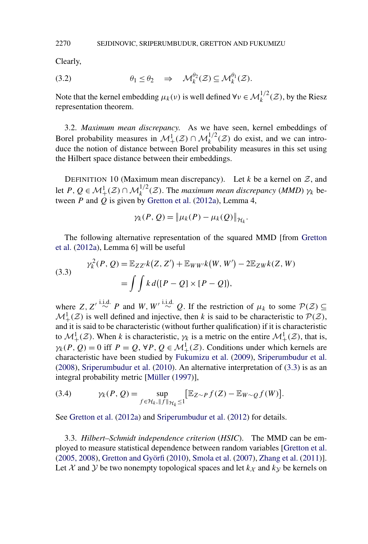<span id="page-7-0"></span>Clearly,

(3.2) 
$$
\theta_1 \leq \theta_2 \quad \Rightarrow \quad \mathcal{M}_k^{\theta_2}(\mathcal{Z}) \subseteq \mathcal{M}_k^{\theta_1}(\mathcal{Z}).
$$

Note that the kernel embedding  $\mu_k(v)$  is well defined  $\forall v \in \mathcal{M}_k^{1/2}(\mathcal{Z})$ , by the Riesz representation theorem.

3.2. *Maximum mean discrepancy*. As we have seen, kernel embeddings of Borel probability measures in  $\mathcal{M}^1_+(\mathcal{Z}) \cap \mathcal{M}^{1/2}_k(\mathcal{Z})$  do exist, and we can introduce the notion of distance between Borel probability measures in this set using the Hilbert space distance between their embeddings.

DEFINITION 10 (Maximum mean discrepancy). Let  $k$  be a kernel on  $\mathcal{Z}$ , and let  $P, Q \in \mathcal{M}^1_+(\mathcal{Z}) \cap \mathcal{M}^{1/2}_k(\mathcal{Z})$ . The *maximum mean discrepancy* (*MMD*)  $\gamma_k$  between  $\overrightarrow{P}$  and  $\overrightarrow{Q}$  is given by [Gretton et al.](#page-27-0) [\(2012a\)](#page-27-0), Lemma 4,

$$
\gamma_k(P, Q) = \left\|\mu_k(P) - \mu_k(Q)\right\|_{\mathcal{H}_k}.
$$

The following alternative representation of the squared MMD [from [Gretton](#page-27-0) [et al.](#page-27-0) [\(2012a\)](#page-27-0), Lemma 6] will be useful

(3.3) 
$$
\gamma_k^2(P, Q) = \mathbb{E}_{ZZ'} k(Z, Z') + \mathbb{E}_{WW'} k(W, W') - 2 \mathbb{E}_{ZW} k(Z, W) = \int \int k d([P - Q] \times [P - Q]),
$$

where  $Z, Z' \stackrel{\text{i.i.d.}}{\sim} P$  and  $W, W' \stackrel{\text{i.i.d.}}{\sim} Q$ . If the restriction of  $\mu_k$  to some  $P(Z) \subseteq$  $\mathcal{M}^1_+(\mathcal{Z})$  is well defined and injective, then *k* is said to be characteristic to  $\mathcal{P}(\mathcal{Z})$ , and it is said to be characteristic (without further qualification) if it is characteristic to  $M^1_+(\mathcal{Z})$ . When *k* is characteristic,  $\gamma_k$  is a metric on the entire  $M^1_+(\mathcal{Z})$ , that is,  $\gamma_k(P, Q) = 0$  iff  $P = Q, \forall P, Q \in \mathcal{M}^1_+(\mathcal{Z})$ . Conditions under which kernels are characteristic have been studied by [Fukumizu et al.](#page-27-0) [\(2009\)](#page-27-0), [Sriperumbudur et al.](#page-28-0) [\(2008\)](#page-28-0), [Sriperumbudur et al.](#page-28-0) [\(2010\)](#page-28-0). An alternative interpretation of (3.3) is as an integral probability metric [\[Müller](#page-27-0) [\(1997\)](#page-27-0)],

(3.4) 
$$
\gamma_k(P,Q) = \sup_{f \in \mathcal{H}_k, \|f\|_{\mathcal{H}_k} \leq 1} \left[ \mathbb{E}_{Z \sim P} f(Z) - \mathbb{E}_{W \sim Q} f(W) \right].
$$

See [Gretton et al.](#page-27-0) [\(2012a\)](#page-27-0) and [Sriperumbudur et al.](#page-28-0) [\(2012\)](#page-28-0) for details.

3.3. *Hilbert–Schmidt independence criterion* (*HSIC*). The MMD can be employed to measure statistical dependence between random variables [\[Gretton et al.](#page-27-0) [\(2005, 2008\)](#page-27-0), [Gretton and Györfi](#page-27-0) [\(2010\)](#page-27-0), [Smola et al.](#page-28-0) [\(2007\)](#page-28-0), [Zhang et al.](#page-28-0) [\(2011\)](#page-28-0)]. Let X and Y be two nonempty topological spaces and let  $k_X$  and  $k_Y$  be kernels on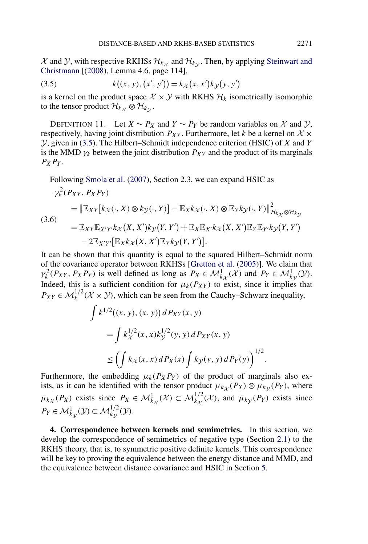<span id="page-8-0"></span> $X$  and  $Y$ , with respective RKHSs  $\mathcal{H}_{k}$  and  $\mathcal{H}_{k}$ . Then, by applying [Steinwart and](#page-28-0) [Christmann](#page-28-0) [[\(2008\)](#page-28-0), Lemma 4.6, page 114],

(3.5) 
$$
k((x, y), (x', y')) = k_{\mathcal{X}}(x, x')k_{\mathcal{Y}}(y, y')
$$

is a kernel on the product space  $X \times Y$  with RKHS  $\mathcal{H}_k$  isometrically isomorphic to the tensor product  $\mathcal{H}_{k\chi} \otimes \mathcal{H}_{k\gamma}$ .

DEFINITION 11. Let  $X \sim P_X$  and  $Y \sim P_Y$  be random variables on X and  $Y$ , respectively, having joint distribution  $P_{XY}$ . Furthermore, let *k* be a kernel on  $\mathcal{X} \times$ Y, given in (3.5). The Hilbert–Schmidt independence criterion (HSIC) of *X* and *Y* is the MMD  $\gamma_k$  between the joint distribution  $P_{XY}$  and the product of its marginals  $P_X P_Y$ .

Following [Smola et al.](#page-28-0) [\(2007\)](#page-28-0), Section 2.3, we can expand HSIC as

$$
\gamma_k^2(P_{XY}, P_X P_Y)
$$
  
=  $|\mathbb{E}_{XY}[k_X(\cdot, X) \otimes k_Y(\cdot, Y)] - \mathbb{E}_X k_X(\cdot, X) \otimes \mathbb{E}_Y k_Y(\cdot, Y)|_{\mathcal{H}_{k_X} \otimes \mathcal{H}_{k_Y}}^2$   
(3.6)  
=  $\mathbb{E}_{XY}\mathbb{E}_{X'Y'}k_X(X, X')k_Y(Y, Y') + \mathbb{E}_X\mathbb{E}_{X'}k_X(X, X')\mathbb{E}_Y\mathbb{E}_{Y'}k_Y(Y, Y')$   
-  $2\mathbb{E}_{X'Y'}[\mathbb{E}_X k_X(X, X')\mathbb{E}_Y k_Y(Y, Y')].$ 

It can be shown that this quantity is equal to the squared Hilbert–Schmidt norm of the covariance operator between RKHSs [\[Gretton et al.](#page-27-0) [\(2005\)](#page-27-0)]. We claim that  $\gamma_k^2(P_{XY}, P_X P_Y)$  is well defined as long as  $P_X \in \mathcal{M}_{k_X}^1(\mathcal{X})$  and  $P_Y \in \mathcal{M}_{k_Y}^1(\mathcal{Y})$ . Indeed, this is a sufficient condition for  $\mu_k(P_{XY})$  to exist, since it implies that  $P_{XY} \in \mathcal{M}_k^{1/2}(\mathcal{X} \times \mathcal{Y})$ , which can be seen from the Cauchy–Schwarz inequality,

$$
\int k^{1/2}((x, y), (x, y)) dP_{XY}(x, y)
$$
  
= 
$$
\int k^{1/2}_x(x, x) k^{1/2}_y(y, y) dP_{XY}(x, y)
$$
  

$$
\leq \left( \int k_{\mathcal{X}}(x, x) dP_X(x) \int k_{\mathcal{Y}}(y, y) dP_Y(y) \right)^{1/2}.
$$

Furthermore, the embedding  $\mu_k(P_XP_Y)$  of the product of marginals also exists, as it can be identified with the tensor product  $\mu_{k\chi}(P_X) \otimes \mu_{k\chi}(P_Y)$ , where  $\mu_{k\chi}(P_X)$  exists since  $P_X \in \mathcal{M}_{k\chi}^1(\mathcal{X}) \subset \mathcal{M}_{k\chi}^{1/2}(\mathcal{X})$ , and  $\mu_{k\chi}(P_Y)$  exists since  $P_Y \in \mathcal{M}_{k_{\mathcal{Y}}}^1(\mathcal{Y}) \subset \mathcal{M}_{k_{\mathcal{Y}}}^{1/2}(\mathcal{Y})$ .

**4. Correspondence between kernels and semimetrics.** In this section, we develop the correspondence of semimetrics of negative type (Section [2.1\)](#page-3-0) to the RKHS theory, that is, to symmetric positive definite kernels. This correspondence will be key to proving the equivalence between the energy distance and MMD, and the equivalence between distance covariance and HSIC in Section [5.](#page-13-0)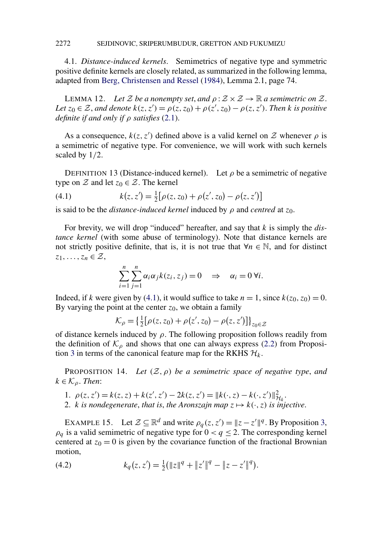### <span id="page-9-0"></span>2272 SEJDINOVIC, SRIPERUMBUDUR, GRETTON AND FUKUMIZU

4.1. *Distance-induced kernels*. Semimetrics of negative type and symmetric positive definite kernels are closely related, as summarized in the following lemma, adapted from [Berg, Christensen and Ressel](#page-27-0) [\(1984\)](#page-27-0), Lemma 2.1, page 74.

LEMMA 12. Let  $\mathcal Z$  *be a nonempty set, and*  $\rho : \mathcal Z \times \mathcal Z \to \mathbb R$  *a semimetric on*  $\mathcal Z$ . *Let*  $z_0 \in \mathcal{Z}$ , and denote  $k(z, z') = \rho(z, z_0) + \rho(z', z_0) - \rho(z, z')$ . *Then k is positive definite if and only if ρ satisfies* [\(2.1\)](#page-3-0).

As a consequence,  $k(z, z')$  defined above is a valid kernel on  $\mathcal Z$  whenever  $\rho$  is a semimetric of negative type. For convenience, we will work with such kernels scaled by 1*/*2.

DEFINITION 13 (Distance-induced kernel). Let  $\rho$  be a semimetric of negative type on  $\mathcal Z$  and let  $z_0 \in \mathcal Z$ . The kernel

(4.1) 
$$
k(z, z') = \frac{1}{2} [\rho(z, z_0) + \rho(z', z_0) - \rho(z, z')]
$$

is said to be the *distance-induced kernel* induced by *ρ* and *centred* at *z*0.

For brevity, we will drop "induced" hereafter, and say that *k* is simply the *distance kernel* (with some abuse of terminology). Note that distance kernels are not strictly positive definite, that is, it is not true that  $\forall n \in \mathbb{N}$ , and for distinct  $z_1, \ldots, z_n \in \mathcal{Z}$ ,

$$
\sum_{i=1}^n \sum_{j=1}^n \alpha_i \alpha_j k(z_i, z_j) = 0 \quad \Rightarrow \quad \alpha_i = 0 \,\forall i.
$$

Indeed, if *k* were given by (4.1), it would suffice to take  $n = 1$ , since  $k(z_0, z_0) = 0$ . By varying the point at the center *z*0, we obtain a family

$$
\mathcal{K}_{\rho} = \left\{ \frac{1}{2} [\rho(z, z_0) + \rho(z', z_0) - \rho(z, z')] \right\}_{z_0 \in \mathcal{Z}}
$$

of distance kernels induced by *ρ*. The following proposition follows readily from the definition of  $K_\rho$  and shows that one can always express [\(2.2\)](#page-3-0) from Proposi-tion [3](#page-3-0) in terms of the canonical feature map for the RKHS  $\mathcal{H}_k$ .

PROPOSITION 14. Let  $(\mathcal{Z}, \rho)$  be a semimetric space of negative type, and  $k \in \mathcal{K}_o$ . *Then*:

- 1.  $\rho(z, z') = k(z, z) + k(z', z') 2k(z, z') = ||k(\cdot, z) k(\cdot, z')||_{\mathcal{H}_{\nu}}^2$ .
- 2. *k* is nondegenerate, that is, the Aronszajn map  $z \mapsto k(\cdot, z)$  is injective.

EXAMPLE 15. Let  $\mathcal{Z} \subseteq \mathbb{R}^d$  and write  $\rho_q(z, z') = ||z - z'||^q$ . By Proposition [3,](#page-3-0)  $\rho_q$  is a valid semimetric of negative type for  $0 < q \le 2$ . The corresponding kernel centered at  $z_0 = 0$  is given by the covariance function of the fractional Brownian motion,

(4.2) 
$$
k_q(z, z') = \frac{1}{2} (\|z\|^q + \|z'\|^q - \|z - z'\|^q).
$$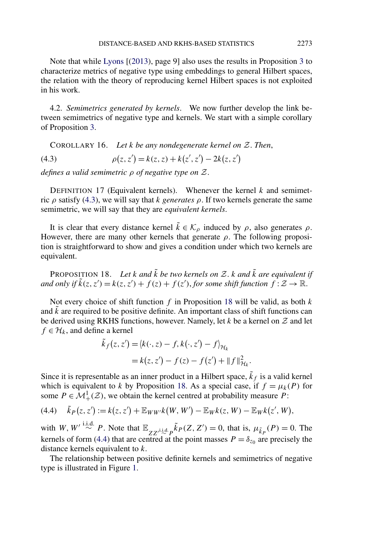<span id="page-10-0"></span>Note that while [Lyons](#page-27-0) [[\(2013\)](#page-27-0), page 9] also uses the results in Proposition [3](#page-3-0) to characterize metrics of negative type using embeddings to general Hilbert spaces, the relation with the theory of reproducing kernel Hilbert spaces is not exploited in his work.

4.2. *Semimetrics generated by kernels*. We now further develop the link between semimetrics of negative type and kernels. We start with a simple corollary of Proposition [3.](#page-3-0)

COROLLARY 16. *Let k be any nondegenerate kernel on* Z. *Then*, (4.3)  $\rho(z, z') = k(z, z) + k(z', z') - 2k(z, z')$ 

*defines a valid semimetric ρ of negative type on* Z.

DEFINITION 17 (Equivalent kernels). Whenever the kernel *k* and semimetric *ρ* satisfy (4.3), we will say that *k generates ρ*. If two kernels generate the same semimetric, we will say that they are *equivalent kernels*.

It is clear that every distance kernel  $\tilde{k} \in \mathcal{K}_o$  induced by  $\rho$ , also generates  $\rho$ . However, there are many other kernels that generate *ρ*. The following proposition is straightforward to show and gives a condition under which two kernels are equivalent.

PROPOSITION 18. Let *k* and  $\tilde{k}$  be two kernels on  $\mathcal{Z}$ . *k* and  $\tilde{k}$  are equivalent if *and only if*  $\tilde{k}(z, z') = k(z, z') + f(z) + f(z')$ , *for some shift function*  $f : \mathcal{Z} \to \mathbb{R}$ .

Not every choice of shift function *f* in Proposition 18 will be valid, as both *k* and  $\hat{k}$  are required to be positive definite. An important class of shift functions can be derived using RKHS functions, however. Namely, let  $k$  be a kernel on  $\mathcal Z$  and let  $f \in \mathcal{H}_k$ , and define a kernel

$$
\tilde{k}_f(z, z') = \langle k(\cdot, z) - f, k(\cdot, z') - f \rangle_{\mathcal{H}_k}
$$
  
=  $k(z, z') - f(z) - f(z') + ||f||_{\mathcal{H}_k}^2$ .

Since it is representable as an inner product in a Hilbert space,  $\tilde{k}_f$  is a valid kernel which is equivalent to *k* by Proposition 18. As a special case, if  $f = \mu_k(P)$  for some  $P \in \mathcal{M}^1_+(\mathcal{Z})$ , we obtain the kernel centred at probability measure P:

$$
(4.4) \quad \tilde{k}_P(z, z') := k(z, z') + \mathbb{E}_{WW'}k(W, W') - \mathbb{E}_{W}k(z, W) - \mathbb{E}_{W}k(z', W),
$$

with *W*,  $W' \stackrel{\text{i.i.d.}}{\sim} P$ . Note that  $\mathbb{E}_{ZZ'}$  *R*<sub>id</sub><sub>*R*</sub> $\tilde{k}_P(Z, Z') = 0$ , that is,  $\mu_{\tilde{k}_P}(P) = 0$ . The kernels of form (4.4) that are centred at the point masses  $P = \delta_{z_0}$  are precisely the distance kernels equivalent to *k*.

The relationship between positive definite kernels and semimetrics of negative type is illustrated in Figure [1.](#page-11-0)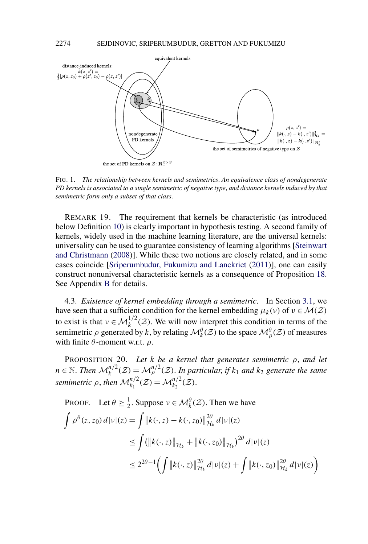

FIG. 1. *The relationship between kernels and semimetrics*. *An equivalence class of nondegenerate PD kernels is associated to a single semimetric of negative type*, *and distance kernels induced by that semimetric form only a subset of that class*.

REMARK 19. The requirement that kernels be characteristic (as introduced below Definition [10\)](#page-7-0) is clearly important in hypothesis testing. A second family of kernels, widely used in the machine learning literature, are the universal kernels: universality can be used to guarantee consistency of learning algorithms [\[Steinwart](#page-28-0) [and Christmann](#page-28-0) [\(2008\)](#page-28-0)]. While these two notions are closely related, and in some cases coincide [\[Sriperumbudur, Fukumizu and Lanckriet](#page-28-0) [\(2011\)](#page-28-0)], one can easily construct nonuniversal characteristic kernels as a consequence of Proposition [18.](#page-10-0) See Appendix [B](#page-25-0) for details.

4.3. *Existence of kernel embedding through a semimetric*. In Section [3.1,](#page-6-0) we have seen that a sufficient condition for the kernel embedding  $\mu_k(v)$  of  $v \in \mathcal{M}(\mathcal{Z})$ to exist is that  $v \in M_k^{1/2}(\mathcal{Z})$ . We will now interpret this condition in terms of the semimetric  $\rho$  generated by *k*, by relating  $\mathcal{M}_k^{\theta}(\mathcal{Z})$  to the space  $\mathcal{M}_\rho^{\theta}(\mathcal{Z})$  of measures with finite *θ*-moment w.r.t. *ρ*.

PROPOSITION 20. *Let k be a kernel that generates semimetric ρ*, *and let*  $n \in \mathbb{N}$ . *Then*  $\mathcal{M}_k^{n/2}(\mathcal{Z}) = \mathcal{M}_\rho^{n/2}(\mathcal{Z})$ . *In particular, if*  $k_1$  *and*  $k_2$  *generate the same semimetric*  $\rho$ , *then*  $\mathcal{M}_{k_1}^{n/2}(\mathcal{Z}) = \mathcal{M}_{k_2}^{n/2}(\mathcal{Z})$ .

PROOF. Let 
$$
\theta \ge \frac{1}{2}
$$
. Suppose  $\nu \in \mathcal{M}_k^{\theta}(\mathcal{Z})$ . Then we have  
\n
$$
\int \rho^{\theta}(z, z_0) d|\nu|(z) = \int ||k(\cdot, z) - k(\cdot, z_0)||_{\mathcal{H}_k}^{2\theta} d|\nu|(z)
$$
\n
$$
\le \int (||k(\cdot, z)||_{\mathcal{H}_k} + ||k(\cdot, z_0)||_{\mathcal{H}_k})^{2\theta} d|\nu|(z)
$$
\n
$$
\le 2^{2\theta - 1} \Big( \int ||k(\cdot, z)||_{\mathcal{H}_k}^{2\theta} d|\nu|(z) + \int ||k(\cdot, z_0)||_{\mathcal{H}_k}^{2\theta} d|\nu|(z) \Big)
$$

<span id="page-11-0"></span>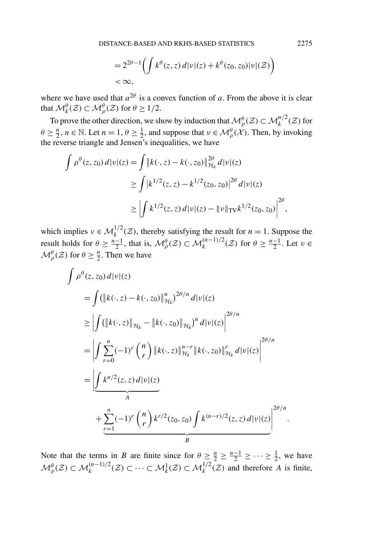$$
=2^{2\theta-1}\left(\int k^{\theta}(z,z) d|\nu|(z)+k^{\theta}(z_0,z_0)|\nu|(z)\right)
$$
  
<\infty,

where we have used that  $a^{2\theta}$  is a convex function of *a*. From the above it is clear that  $\mathcal{M}_k^{\theta}(\mathcal{Z}) \subset \mathcal{M}_\rho^{\theta}(\mathcal{Z})$  for  $\theta \ge 1/2$ .

To prove the other direction, we show by induction that  $\mathcal{M}_{\rho}^{\theta}(\mathcal{Z}) \subset \mathcal{M}_{k}^{n/2}(\mathcal{Z})$  for  $\theta \geq \frac{n}{2}$ ,  $n \in \mathbb{N}$ . Let  $n = 1$ ,  $\theta \geq \frac{1}{2}$ , and suppose that  $\nu \in \mathcal{M}_{\rho}^{\theta}(\mathcal{X})$ . Then, by invoking the reverse triangle and Jensen's inequalities, we have

$$
\int \rho^{\theta}(z, z_0) d|\nu|(z) = \int \|k(\cdot, z) - k(\cdot, z_0)\|_{\mathcal{H}_k}^{2\theta} d|\nu|(z)
$$
  
\n
$$
\geq \int |k^{1/2}(z, z) - k^{1/2}(z_0, z_0)|^{2\theta} d|\nu|(z)
$$
  
\n
$$
\geq \left| \int k^{1/2}(z, z) d|\nu|(z) - ||\nu||_{\text{TV}} k^{1/2}(z_0, z_0) \right|^{2\theta},
$$

which implies  $v \in M_k^{1/2}(\mathcal{Z})$ , thereby satisfying the result for  $n = 1$ . Suppose the result holds for  $\theta \ge \frac{n-1}{2}$ , that is,  $\mathcal{M}_{\rho}^{\theta}(\mathcal{Z}) \subset \mathcal{M}_{k}^{(n-1)/2}(\mathcal{Z})$  for  $\theta \ge \frac{n-1}{2}$ . Let  $\nu \in$  $\mathcal{M}_{\rho}^{\theta}(\mathcal{Z})$  for  $\theta \geq \frac{n}{2}$ . Then we have

$$
\int \rho^{\theta}(z, z_0) d|\nu|(z)
$$
\n
$$
= \int (||k(\cdot, z) - k(\cdot, z_0)||_{\mathcal{H}_k}^n)^{2\theta/n} d|\nu|(z)
$$
\n
$$
\geq \left| \int (||k(\cdot, z)||_{\mathcal{H}_k} - ||k(\cdot, z_0)||_{\mathcal{H}_k}^n)^n d|\nu|(z) \right|^{2\theta/n}
$$
\n
$$
= \left| \int \sum_{r=0}^n (-1)^r \binom{n}{r} ||k(\cdot, z)||_{\mathcal{H}_k}^{n-r} ||k(\cdot, z_0)||_{\mathcal{H}_k}^r d|\nu|(z) \right|^{2\theta/n}
$$
\n
$$
= \left| \int k^{n/2}(z, z) d|\nu|(z) \right|^{n-r}
$$
\n
$$
+ \sum_{r=1}^n (-1)^r \binom{n}{r} k^{r/2}(z_0, z_0) \int k^{(n-r)/2}(z, z) d|\nu|(z) \right|^{2\theta/n}
$$

Note that the terms in *B* are finite since for  $\theta \ge \frac{n}{2} \ge \frac{n-1}{2} \ge \cdots \ge \frac{1}{2}$ , we have  $\mathcal{M}_{\rho}^{\theta}(\mathcal{Z}) \subset \mathcal{M}_{k}^{(n-1)/2}(\mathcal{Z}) \subset \cdots \subset \mathcal{M}_{k}^{1}(\mathcal{Z}) \subset \mathcal{M}_{k}^{1/2}(\mathcal{Z})$  and therefore *A* is finite,

*.*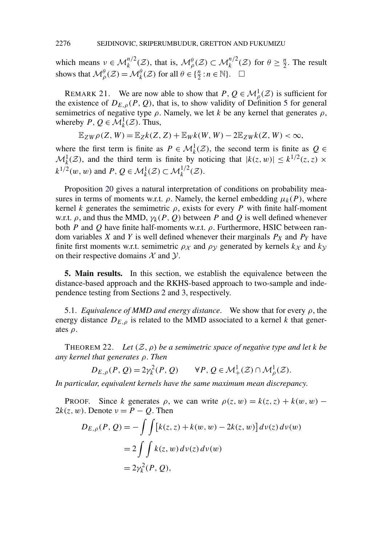<span id="page-13-0"></span>which means  $\nu \in M_k^{n/2}(\mathcal{Z})$ , that is,  $M_\rho^\theta(\mathcal{Z}) \subset M_k^{n/2}(\mathcal{Z})$  for  $\theta \geq \frac{n}{2}$ . The result shows that  $\mathcal{M}_{\rho}^{\theta}(\mathcal{Z}) = \mathcal{M}_{k}^{\theta}(\mathcal{Z})$  for all  $\theta \in \{\frac{n}{2} : n \in \mathbb{N}\}. \quad \Box$ 

REMARK 21. We are now able to show that  $P, Q \in M_{\rho}^{1}(\mathcal{Z})$  is sufficient for the existence of  $D_{E,\rho}(P,Q)$ , that is, to show validity of Definition [5](#page-4-0) for general semimetrics of negative type  $\rho$ . Namely, we let *k* be any kernel that generates  $\rho$ , whereby  $P, Q \in \mathcal{M}_k^1(\mathcal{Z})$ . Thus,

$$
\mathbb{E}_{ZW}\rho(Z,W)=\mathbb{E}_{Z}k(Z,Z)+\mathbb{E}_{W}k(W,W)-2\mathbb{E}_{ZW}k(Z,W)<\infty,
$$

where the first term is finite as  $P \in M_k^1(\mathcal{Z})$ , the second term is finite as  $Q \in$  $\mathcal{M}_k^1(\mathcal{Z})$ , and the third term is finite by noticing that  $|k(z,w)| \leq k^{1/2}(z,z) \times$  $k^{1/2}(w, w)$  and  $P, Q \in \mathcal{M}_k^1(\mathcal{Z}) \subset \mathcal{M}_k^{1/2}(\mathcal{Z})$ .

Proposition [20](#page-11-0) gives a natural interpretation of conditions on probability measures in terms of moments w.r.t.  $\rho$ . Namely, the kernel embedding  $\mu_k(P)$ , where kernel *k* generates the semimetric  $\rho$ , exists for every *P* with finite half-moment w.r.t.  $\rho$ , and thus the MMD,  $\gamma_k(P, Q)$  between *P* and *Q* is well defined whenever both *P* and *Q* have finite half-moments w.r.t. *ρ*. Furthermore, HSIC between random variables *X* and *Y* is well defined whenever their marginals  $P_X$  and  $P_Y$  have finite first moments w.r.t. semimetric  $\rho_X$  and  $\rho_Y$  generated by kernels  $k_X$  and  $k_Y$ on their respective domains  $X$  and  $Y$ .

**5. Main results.** In this section, we establish the equivalence between the distance-based approach and the RKHS-based approach to two-sample and independence testing from Sections [2](#page-2-0) and [3,](#page-6-0) respectively.

5.1. *Equivalence of MMD and energy distance*. We show that for every *ρ*, the energy distance  $D_{E,\rho}$  is related to the MMD associated to a kernel *k* that generates *ρ*.

THEOREM 22. Let  $(\mathcal{Z}, \rho)$  be a semimetric space of negative type and let k be *any kernel that generates ρ*. *Then*

$$
D_{E,\rho}(P,Q) = 2\gamma_k^2(P,Q) \qquad \forall P, Q \in \mathcal{M}_+^1(\mathcal{Z}) \cap \mathcal{M}_\rho^1(\mathcal{Z}).
$$

*In particular*, *equivalent kernels have the same maximum mean discrepancy*.

PROOF. Since *k* generates  $\rho$ , we can write  $\rho(z, w) = k(z, z) + k(w, w)$  –  $2k(z, w)$ . Denote  $v = P - Q$ . Then

$$
D_{E,\rho}(P,Q) = -\int \int \left[k(z,z) + k(w,w) - 2k(z,w)\right] d\nu(z) d\nu(w)
$$

$$
= 2 \int \int k(z,w) d\nu(z) d\nu(w)
$$

$$
= 2\gamma_k^2(P,Q),
$$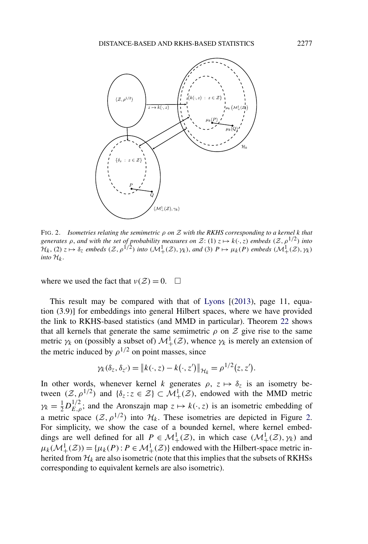

FIG. 2. *Isometries relating the semimetric ρ on* Z *with the RKHS corresponding to a kernel k that generates*  $\rho$ , *and with the set of probability measures on*  $\mathcal{Z}:$  (1)  $z \mapsto k(\cdot, z)$  *embeds*  $(\mathcal{Z}, \rho^{1/2})$  *into*  $\mathcal{H}_k$ , (2)  $z \mapsto \delta_z$  *embeds*  $(\mathcal{Z}, \rho^{1/2})$  *into*  $(\mathcal{M}_+^1(\mathcal{Z}), \gamma_k)$ *, and* (3)  $P \mapsto \mu_k(P)$  *embeds*  $(\mathcal{M}_+^1(\mathcal{Z}), \gamma_k)$ *into*  $\mathcal{H}_k$ .

where we used the fact that  $v(Z) = 0$ .  $\Box$ 

This result may be compared with that of [Lyons](#page-27-0) [[\(2013\)](#page-27-0), page 11, equation (3.9)] for embeddings into general Hilbert spaces, where we have provided the link to RKHS-based statistics (and MMD in particular). Theorem [22](#page-13-0) shows that all kernels that generate the same semimetric  $\rho$  on  $Z$  give rise to the same metric  $\gamma_k$  on (possibly a subset of)  $\mathcal{M}^1_+(\mathcal{Z})$ , whence  $\gamma_k$  is merely an extension of the metric induced by  $\rho^{1/2}$  on point masses, since

$$
\gamma_k(\delta_z,\delta_{z'})=\|k(\cdot,z)-k(\cdot,z')\|_{\mathcal{H}_k}=\rho^{1/2}(z,z').
$$

In other words, whenever kernel *k* generates  $\rho$ ,  $z \mapsto \delta_z$  is an isometry between  $(\mathcal{Z}, \rho^{1/2})$  and  $\{\delta_z : z \in \mathcal{Z}\} \subset \mathcal{M}_+^1(\mathcal{Z})$ , endowed with the MMD metric  $\gamma_k = \frac{1}{2} D_{E,\rho}^{1/2}$ ; and the Aronszajn map  $z \mapsto k(\cdot, z)$  is an isometric embedding of a metric space  $(\mathcal{Z}, \rho^{1/2})$  into  $\mathcal{H}_k$ . These isometries are depicted in Figure 2. For simplicity, we show the case of a bounded kernel, where kernel embeddings are well defined for all  $P \in M^1_+(\mathcal{Z})$ , in which case  $(M^1_+(\mathcal{Z}), \gamma_k)$  and  $\mu_k(\mathcal{M}_+^1(\mathcal{Z})) = {\mu_k(P) : P \in \mathcal{M}_+^1(\mathcal{Z})}$  endowed with the Hilbert-space metric inherited from  $H_k$  are also isometric (note that this implies that the subsets of RKHSs corresponding to equivalent kernels are also isometric).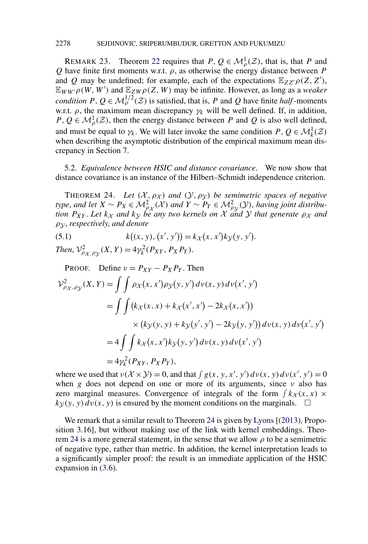<span id="page-15-0"></span>REMARK 23. Theorem [22](#page-13-0) requires that  $P, Q \in \mathcal{M}_{\rho}^1(\mathcal{Z})$ , that is, that *P* and *Q* have finite first moments w.r.t. *ρ*, as otherwise the energy distance between *P* and *Q* may be undefined; for example, each of the expectations  $\mathbb{E}_{ZZ}$ *<sub>* $\rho$ *</sub>*(*Z, Z'*),  $\mathbb{E}_{WW}(\rho(W, W'))$  and  $\mathbb{E}_{ZW}(\rho(Z, W))$  may be infinite. However, as long as a *weaker condition*  $P, Q \in \mathcal{M}_{\rho}^{1/2}(\mathcal{Z})$  is satisfied, that is, *P* and *Q* have finite *half*-moments w.r.t.  $\rho$ , the maximum mean discrepancy  $\gamma_k$  will be well defined. If, in addition,  $P, Q \in \mathcal{M}_\rho^1(\mathcal{Z})$ , then the energy distance between *P* and *Q* is also well defined, and must be equal to  $\gamma_k$ . We will later invoke the same condition  $P, Q \in \mathcal{M}_k^1(\mathcal{Z})$ when describing the asymptotic distribution of the empirical maximum mean discrepancy in Section [7.](#page-18-0)

5.2. *Equivalence between HSIC and distance covariance*. We now show that distance covariance is an instance of the Hilbert–Schmidt independence criterion.

THEOREM 24. *Let*  $(X, \rho_X)$  *and*  $(Y, \rho_Y)$  *be semimetric spaces of negative type*, *and* let  $X \sim P_X \in M_{\rho_X}^2(\mathcal{X})$  *and*  $Y \sim P_Y \in M_{\rho_Y}^2(\mathcal{Y})$ , *having joint distribu-*<br>*tion P*<sub>*n*</sub> *Lat b*<sub>*n*</sub> *and b*<sub>*h*</sub> *cm tug lemals gn X*<sub>*n*</sub> *gd l*) *that granate e g gnd tion*  $P_{XY}$ . Let  $k_X$  *and*  $k_Y$  *be any two kernels on*  $X$  *and*  $Y$  *that generate*  $\rho_X$  *and ρ*<sup>Y</sup> , *respectively*, *and denote*

(5.1)  $k((x, y), (x', y')) = k_{\mathcal{X}}(x, x')k_{\mathcal{Y}}(y, y').$ *Then*,  $V_{\rho_{X,\rho_{Y}}}^2(X, Y) = 4\gamma_k^2(P_{XY}, P_X P_Y).$ 

PROOF. Define 
$$
v = P_{XY} - P_X P_Y
$$
. Then  
\n
$$
V_{\rho_X, \rho_Y}^2(X, Y) = \int \int \rho_X(x, x') \rho_Y(y, y') d\nu(x, y) d\nu(x', y')
$$
\n
$$
= \int \int (k_X(x, x) + k_X(x', x') - 2k_X(x, x'))
$$
\n
$$
\times (k_Y(y, y) + k_Y(y', y') - 2k_Y(y, y')) d\nu(x, y) d\nu(x', y')
$$
\n
$$
= 4 \int \int k_X(x, x') k_Y(y, y') d\nu(x, y) d\nu(x', y')
$$
\n
$$
= 4 \gamma_k^2(P_{XY}, P_X P_Y),
$$

where we used that  $v(\mathcal{X} \times \mathcal{Y}) = 0$ , and that  $\int g(x, y, x', y') dv(x, y) dv(x', y') = 0$ when *g* does not depend on one or more of its arguments, since *ν* also has zero marginal measures. Convergence of integrals of the form  $\int k \chi(x, x) \times$  $k_y(y, y) d\upsilon(x, y)$  is ensured by the moment conditions on the marginals.  $\Box$ 

We remark that a similar result to Theorem 24 is given by [Lyons](#page-27-0) [[\(2013\)](#page-27-0), Proposition 3.16], but without making use of the link with kernel embeddings. Theorem 24 is a more general statement, in the sense that we allow  $\rho$  to be a semimetric of negative type, rather than metric. In addition, the kernel interpretation leads to a significantly simpler proof: the result is an immediate application of the HSIC expansion in [\(3.6\)](#page-8-0).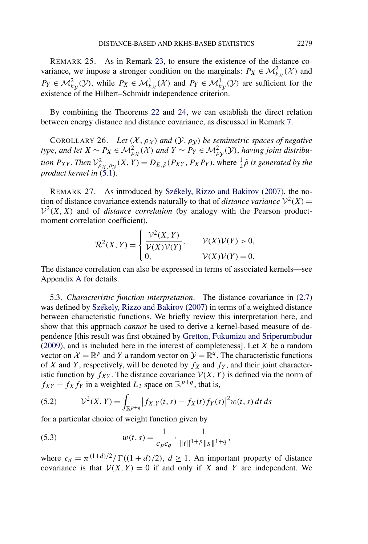<span id="page-16-0"></span>REMARK 25. As in Remark [23,](#page-15-0) to ensure the existence of the distance covariance, we impose a stronger condition on the marginals:  $P_X \in M_{k_X}^2(\mathcal{X})$  and  $P_Y \in M_{k_y}^2(\mathcal{Y})$ , while  $P_X \in M_{k_x}^1(\mathcal{X})$  and  $P_Y \in M_{k_y}^1(\mathcal{Y})$  are sufficient for the existence of the Hilbert–Schmidt independence criterion.

By combining the Theorems [22](#page-13-0) and [24,](#page-15-0) we can establish the direct relation between energy distance and distance covariance, as discussed in Remark [7.](#page-5-0)

COROLLARY 26. *Let*  $(X, \rho_X)$  *and*  $(Y, \rho_Y)$  *be semimetric spaces of negative type*, and let  $X \sim P_X \in M_{\rho_X}^2(\mathcal{X})$  and  $Y \sim P_Y \in M_{\rho_Y}^2(\mathcal{Y})$ , *having joint distribution*  $P_{XY}$ . *Then*  $V^2_{\rho_X, \rho_Y}(X, Y) = D_{E, \tilde{\rho}}(P_{XY}, P_X P_Y)$ , where  $\frac{1}{2}\tilde{\rho}$  *is generated by the product kernel in* [\(5.1\)](#page-15-0).

REMARK 27. As introduced by [Székely, Rizzo and Bakirov](#page-28-0) [\(2007\)](#page-28-0), the notion of distance covariance extends naturally to that of *distance variance*  $V^2(X)$  =  $V^2(X, X)$  and of *distance correlation* (by analogy with the Pearson productmoment correlation coefficient),

$$
\mathcal{R}^2(X,Y) = \begin{cases} \frac{\mathcal{V}^2(X,Y)}{\mathcal{V}(X)\mathcal{V}(Y)}, & \mathcal{V}(X)\mathcal{V}(Y) > 0, \\ 0, & \mathcal{V}(X)\mathcal{V}(Y) = 0. \end{cases}
$$

The distance correlation can also be expressed in terms of associated kernels—see Appendix [A](#page-24-0) for details.

5.3. *Characteristic function interpretation*. The distance covariance in [\(2.7\)](#page-5-0) was defined by [Székely, Rizzo and Bakirov](#page-28-0) [\(2007\)](#page-28-0) in terms of a weighted distance between characteristic functions. We briefly review this interpretation here, and show that this approach *cannot* be used to derive a kernel-based measure of dependence [this result was first obtained by [Gretton, Fukumizu and Sriperumbudur](#page-27-0) [\(2009\)](#page-27-0), and is included here in the interest of completeness]. Let *X* be a random vector on  $\mathcal{X} = \mathbb{R}^p$  and *Y* a random vector on  $\mathcal{Y} = \mathbb{R}^q$ . The characteristic functions of *X* and *Y*, respectively, will be denoted by  $f_X$  and  $f_Y$ , and their joint characteristic function by  $f_{XY}$ . The distance covariance  $V(X, Y)$  is defined via the norm of  $f_{XY} - f_X f_Y$  in a weighted  $L_2$  space on  $\mathbb{R}^{p+q}$ , that is,

(5.2) 
$$
\mathcal{V}^2(X,Y) = \int_{\mathbb{R}^{p+q}} |f_{X,Y}(t,s) - f_X(t) f_Y(s)|^2 w(t,s) dt ds
$$

for a particular choice of weight function given by

(5.3) 
$$
w(t,s) = \frac{1}{c_p c_q} \cdot \frac{1}{\|t\|^{1+p} \|s\|^{1+q}},
$$

where  $c_d = \pi^{(1+d)/2}/\Gamma((1+d)/2)$ ,  $d \ge 1$ . An important property of distance covariance is that  $V(X, Y) = 0$  if and only if X and Y are independent. We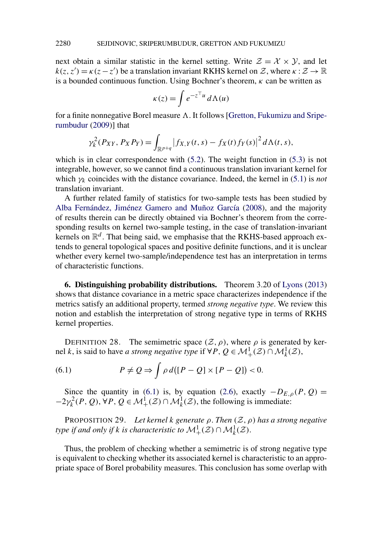<span id="page-17-0"></span>next obtain a similar statistic in the kernel setting. Write  $\mathcal{Z} = \mathcal{X} \times \mathcal{Y}$ , and let  $k(z, z') = \kappa(z - z')$  be a translation invariant RKHS kernel on Z, where  $\kappa : Z \to \mathbb{R}$ is a bounded continuous function. Using Bochner's theorem, *κ* can be written as

$$
\kappa(z) = \int e^{-z^{\top}u} d\Lambda(u)
$$

for a finite nonnegative Borel measure . It follows [\[Gretton, Fukumizu and Sripe](#page-27-0)[rumbudur](#page-27-0) [\(2009\)](#page-27-0)] that

$$
\gamma_k^2(P_{XY}, P_X P_Y) = \int_{\mathbb{R}^{p+q}} |f_{X,Y}(t,s) - f_X(t) f_Y(s)|^2 d\Lambda(t,s),
$$

which is in clear correspondence with  $(5.2)$ . The weight function in  $(5.3)$  is not integrable, however, so we cannot find a continuous translation invariant kernel for which  $\gamma_k$  coincides with the distance covariance. Indeed, the kernel in [\(5.1\)](#page-15-0) is *not* translation invariant.

A further related family of statistics for two-sample tests has been studied by [Alba Fernández, Jiménez Gamero and Muñoz García](#page-26-0) [\(2008\)](#page-26-0), and the majority of results therein can be directly obtained via Bochner's theorem from the corresponding results on kernel two-sample testing, in the case of translation-invariant kernels on  $\mathbb{R}^d$ . That being said, we emphasise that the RKHS-based approach extends to general topological spaces and positive definite functions, and it is unclear whether every kernel two-sample/independence test has an interpretation in terms of characteristic functions.

**6. Distinguishing probability distributions.** Theorem 3.20 of [Lyons](#page-27-0) [\(2013\)](#page-27-0) shows that distance covariance in a metric space characterizes independence if the metrics satisfy an additional property, termed *strong negative type*. We review this notion and establish the interpretation of strong negative type in terms of RKHS kernel properties.

DEFINITION 28. The semimetric space  $(\mathcal{Z}, \rho)$ , where  $\rho$  is generated by kernel *k*, is said to have *a strong negative type* if ∀*P*,  $Q \in \mathcal{M}_+^1(\mathcal{Z}) \cap \mathcal{M}_k^1(\mathcal{Z})$ ,

(6.1) 
$$
P \neq Q \Rightarrow \int \rho d([P - Q] \times [P - Q]) < 0.
$$

Since the quantity in (6.1) is, by equation [\(2.6\)](#page-4-0), exactly  $-D_{E,\rho}(P,Q)$  =  $-2\gamma_k^2(P, Q)$ ,  $\forall P, Q \in \mathcal{M}_+^1(\mathcal{Z}) \cap \mathcal{M}_k^1(\mathcal{Z})$ , the following is immediate:

PROPOSITION 29. *Let kernel k generate ρ*. *Then (*Z*,ρ) has a strong negative type if and only if k is characteristic to*  $\mathcal{M}^1_+(\mathcal{Z}) \cap \mathcal{M}^1_k(\mathcal{Z})$ .

Thus, the problem of checking whether a semimetric is of strong negative type is equivalent to checking whether its associated kernel is characteristic to an appropriate space of Borel probability measures. This conclusion has some overlap with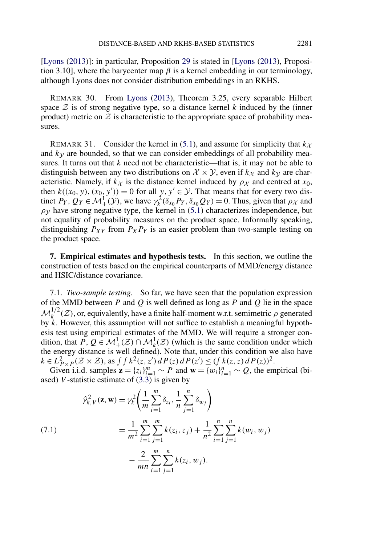<span id="page-18-0"></span>[\[Lyons](#page-27-0) [\(2013\)](#page-27-0)]: in particular, Proposition [29](#page-17-0) is stated in [\[Lyons](#page-27-0) [\(2013\)](#page-27-0), Proposition 3.10], where the barycenter map  $\beta$  is a kernel embedding in our terminology, although Lyons does not consider distribution embeddings in an RKHS.

REMARK 30. From [Lyons](#page-27-0) [\(2013\)](#page-27-0), Theorem 3.25, every separable Hilbert space  $\mathcal Z$  is of strong negative type, so a distance kernel  $k$  induced by the (inner product) metric on  $\mathcal Z$  is characteristic to the appropriate space of probability measures.

REMARK 31. Consider the kernel in [\(5.1\)](#page-15-0), and assume for simplicity that  $k_X$ and  $k<sub>V</sub>$  are bounded, so that we can consider embeddings of all probability measures. It turns out that *k* need not be characteristic—that is, it may not be able to distinguish between any two distributions on  $\mathcal{X} \times \mathcal{Y}$ , even if  $k_{\mathcal{X}}$  and  $k_{\mathcal{Y}}$  are characteristic. Namely, if  $k_{\chi}$  is the distance kernel induced by  $\rho_{\chi}$  and centred at  $x_0$ , then  $k((x_0, y), (x_0, y')) = 0$  for all  $y, y' \in Y$ . That means that for every two distinct  $P_Y$ ,  $Q_Y \in M^1_+(\mathcal{Y})$ , we have  $\gamma_k^2(\delta_{x_0}P_Y, \delta_{x_0}Q_Y) = 0$ . Thus, given that  $\rho_X$  and  $\rho$ <sub>Y</sub> have strong negative type, the kernel in [\(5.1\)](#page-15-0) characterizes independence, but not equality of probability measures on the product space. Informally speaking, distinguishing  $P_{XY}$  from  $P_XP_Y$  is an easier problem than two-sample testing on the product space.

**7. Empirical estimates and hypothesis tests.** In this section, we outline the construction of tests based on the empirical counterparts of MMD/energy distance and HSIC/distance covariance.

7.1. *Two-sample testing*. So far, we have seen that the population expression of the MMD between *P* and *Q* is well defined as long as *P* and *Q* lie in the space  $M_k^{1/2}(\mathcal{Z})$ , or, equivalently, have a finite half-moment w.r.t. semimetric  $\rho$  generated by  $\hat{k}$ . However, this assumption will not suffice to establish a meaningful hypothesis test using empirical estimates of the MMD. We will require a stronger condition, that  $P, Q \in \mathcal{M}_+^1(\mathcal{Z}) \cap \mathcal{M}_k^1(\mathcal{Z})$  (which is the same condition under which the energy distance is well defined). Note that, under this condition we also have  $k \in L^2_{P \times P}(\mathcal{Z} \times \mathcal{Z})$ , as  $\int \int k^2(z, z') dP(z) dP(z') \leq (\int k(z, z) dP(z))^2$ .

Given i.i.d. samples  $\mathbf{z} = \{z_i\}_{i=1}^m \sim P$  and  $\mathbf{w} = \{w_i\}_{i=1}^n \sim Q$ , the empirical (biased) *V* -statistic estimate of [\(3.3\)](#page-7-0) is given by

(7.1)  

$$
\hat{\gamma}_{k,V}^2(\mathbf{z}, \mathbf{w}) = \gamma_k^2 \left( \frac{1}{m} \sum_{i=1}^m \delta_{z_i}, \frac{1}{n} \sum_{j=1}^n \delta_{w_j} \right)
$$

$$
= \frac{1}{m^2} \sum_{i=1}^m \sum_{j=1}^m k(z_i, z_j) + \frac{1}{n^2} \sum_{i=1}^n \sum_{j=1}^n k(w_i, w_j)
$$

$$
- \frac{2}{mn} \sum_{i=1}^m \sum_{j=1}^n k(z_i, w_j).
$$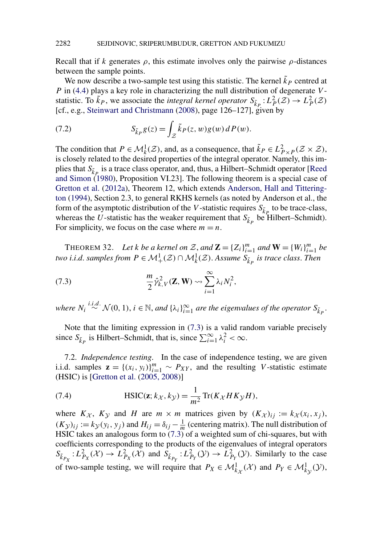<span id="page-19-0"></span>Recall that if *k* generates  $\rho$ , this estimate involves only the pairwise  $\rho$ -distances between the sample points.

We now describe a two-sample test using this statistic. The kernel  $\tilde{k}_P$  centred at *P* in [\(4.4\)](#page-10-0) plays a key role in characterizing the null distribution of degenerate *V* statistic. To  $\tilde{k}_P$ , we associate the *integral kernel operator*  $S_{\tilde{k}_P} : L_P^2(\mathcal{Z}) \to L_P^2(\mathcal{Z})$ [cf., e.g., [Steinwart and Christmann](#page-28-0) [\(2008\)](#page-28-0), page 126–127], given by

(7.2) 
$$
S_{\tilde{k}_P}g(z) = \int_{\mathcal{Z}} \tilde{k}_P(z,w)g(w) dP(w).
$$

The condition that  $P \in M_k^1(\mathcal{Z})$ , and, as a consequence, that  $\tilde{k}_P \in L_{P \times P}^2(\mathcal{Z} \times \mathcal{Z})$ , is closely related to the desired properties of the integral operator. Namely, this implies that  $S_{\vec{k}_P}$  is a trace class operator, and, thus, a Hilbert–Schmidt operator [\[Reed](#page-27-0) [and Simon](#page-27-0) [\(1980\)](#page-27-0), Proposition VI.23]. The following theorem is a special case of [Gretton et al.](#page-27-0) [\(2012a\)](#page-27-0), Theorem 12, which extends [Anderson, Hall and Tittering](#page-26-0)[ton](#page-26-0) [\(1994\)](#page-26-0), Section 2.3, to general RKHS kernels (as noted by Anderson et al., the form of the asymptotic distribution of the *V*-statistic requires  $S_{\tilde{k}_P}$  to be trace-class, whereas the *U*-statistic has the weaker requirement that  $S_{\vec{k}_P}$  be Hilbert–Schmidt). For simplicity, we focus on the case where  $m = n$ .

THEOREM 32. Let *k* be a kernel on Z, and  $\mathbf{Z} = \{Z_i\}_{i=1}^m$  and  $\mathbf{W} = \{W_i\}_{i=1}^m$  be *two i.i.d. samples from*  $P \in M^1_+(\mathcal{Z}) \cap M^1_k(\mathcal{Z})$ . Assume  $S_{\tilde{k}_P}$  is trace class. Then

(7.3) 
$$
\frac{m}{2} \hat{\gamma}_{k,V}^2(\mathbf{Z}, \mathbf{W}) \rightsquigarrow \sum_{i=1}^{\infty} \lambda_i N_i^2,
$$

 $\mathcal{S}_{\tilde{k}_P}$   $\mathcal{S}_{\tilde{k}_P}$   $\mathcal{S}_{\tilde{k}_P}$   $\mathcal{S}_{\tilde{k}_P}$   $\mathcal{S}_{\tilde{k}_P}$   $\mathcal{S}_{\tilde{k}_P}$   $\mathcal{S}_{\tilde{k}_P}$  .

Note that the limiting expression in (7.3) is a valid random variable precisely since  $S_{\tilde{k}_P}$  is Hilbert–Schmidt, that is, since  $\sum_{i=1}^{\infty} \lambda_i^2 < \infty$ .

7.2. *Independence testing*. In the case of independence testing, we are given i.i.d. samples  $\mathbf{z} = \{(x_i, y_i)\}_{i=1}^m \sim P_{XY}$ , and the resulting *V*-statistic estimate (HSIC) is [\[Gretton et al.](#page-27-0) [\(2005, 2008\)](#page-27-0)]

(7.4) 
$$
\text{HSIC}(\mathbf{z}; k_{\mathcal{X}}, k_{\mathcal{Y}}) = \frac{1}{m^2} \text{Tr}(K_{\mathcal{X}} H K_{\mathcal{Y}} H),
$$

where  $K_{\mathcal{X}}$ ,  $K_{\mathcal{Y}}$  and  $H$  are  $m \times m$  matrices given by  $(K_{\mathcal{X}})_{ij} := k_{\mathcal{X}}(x_i, x_j)$ ,  $(K_y)_{ij} := k_y(y_i, y_j)$  and  $H_{ij} = \delta_{ij} - \frac{1}{m}$  (centering matrix). The null distribution of HSIC takes an analogous form to (7.3) of a weighted sum of chi-squares, but with coefficients corresponding to the products of the eigenvalues of integral operators  $S_{\tilde{k}_{P_X}}: L^2_{P_X}(\mathcal{X}) \to L^2_{P_X}(\mathcal{X})$  and  $S_{\tilde{k}_{P_Y}}: L^2_{P_Y}(\mathcal{Y}) \to L^2_{P_Y}(\mathcal{Y})$ . Similarly to the case of two-sample testing, we will require that  $P_X \in \mathcal{M}_{k_X}^1(\mathcal{X})$  and  $P_Y \in \mathcal{M}_{k_Y}^1(\mathcal{Y})$ ,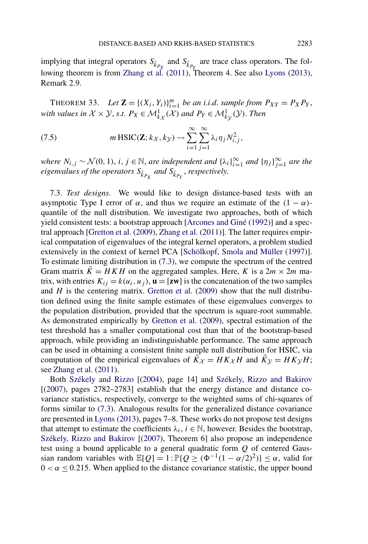implying that integral operators  $S_{\tilde{k}_{P_X}}$  and  $S_{\tilde{k}_{P_Y}}$  are trace class operators. The following theorem is from [Zhang et al.](#page-28-0) [\(2011\)](#page-28-0), Theorem 4. See also [Lyons](#page-27-0) [\(2013\)](#page-27-0), Remark 2.9.

THEOREM 33. Let  $\mathbf{Z} = \{(X_i, Y_i)\}_{i=1}^m$  be an i.i.d. sample from  $P_{XY} = P_X P_Y$ , *with values in*  $X \times Y$ *, s.t.*  $P_X \in \mathcal{M}_{k_X}^1(\mathcal{X})$  and  $P_Y \in \mathcal{M}_{k_Y}^1(\mathcal{Y})$ *. Then* 

(7.5) 
$$
m \,\text{HSIC}(\mathbf{Z}; k_{\mathcal{X}}, k_{\mathcal{Y}}) \rightsquigarrow \sum_{i=1}^{\infty} \sum_{j=1}^{\infty} \lambda_i \eta_j N_{i,j}^2,
$$

*where*  $N_{i,j} \sim \mathcal{N}(0, 1)$ ,  $i, j \in \mathbb{N}$ , *are independent and*  $\{\lambda_i\}_{i=1}^{\infty}$  *and*  $\{\eta_j\}_{j=1}^{\infty}$  *are the eigenvalues of the operators*  $S_{\tilde{k}_{P_X}}$  *and*  $S_{\tilde{k}_{P_Y}}$ *, respectively.* 

7.3. *Test designs*. We would like to design distance-based tests with an asymptotic Type I error of  $\alpha$ , and thus we require an estimate of the  $(1 - \alpha)$ quantile of the null distribution. We investigate two approaches, both of which yield consistent tests: a bootstrap approach [\[Arcones and Giné](#page-27-0) [\(1992\)](#page-27-0)] and a spectral approach [\[Gretton et al.](#page-27-0) [\(2009\)](#page-27-0), [Zhang et al.](#page-28-0) [\(2011\)](#page-28-0)]. The latter requires empirical computation of eigenvalues of the integral kernel operators, a problem studied extensively in the context of kernel PCA [\[Schölkopf, Smola and Müller](#page-27-0) [\(1997\)](#page-27-0)]. To estimate limiting distribution in [\(7.3\)](#page-19-0), we compute the spectrum of the centred Gram matrix  $\tilde{K} = HKH$  on the aggregated samples. Here, K is a  $2m \times 2m$  matrix, with entries  $K_{ij} = k(u_i, u_j)$ ,  $\mathbf{u} = [\mathbf{z} \mathbf{w}]$  is the concatenation of the two samples and  $H$  is the centering matrix. [Gretton et al.](#page-27-0) [\(2009\)](#page-27-0) show that the null distribution defined using the finite sample estimates of these eigenvalues converges to the population distribution, provided that the spectrum is square-root summable. As demonstrated empirically by [Gretton et al.](#page-27-0) [\(2009\)](#page-27-0), spectral estimation of the test threshold has a smaller computational cost than that of the bootstrap-based approach, while providing an indistinguishable performance. The same approach can be used in obtaining a consistent finite sample null distribution for HSIC, via computation of the empirical eigenvalues of  $\tilde{K}_{\mathcal{X}} = H K_{\mathcal{X}} H$  and  $\tilde{K}_{\mathcal{Y}} = H K_{\mathcal{Y}} H$ ; see [Zhang et al.](#page-28-0) [\(2011\)](#page-28-0).

Both [Székely and Rizzo](#page-28-0) [[\(2004\)](#page-28-0), page 14] and [Székely, Rizzo and Bakirov](#page-28-0) [[\(2007\)](#page-28-0), pages 2782–2783] establish that the energy distance and distance covariance statistics, respectively, converge to the weighted sums of chi-squares of forms similar to [\(7.3\)](#page-19-0). Analogous results for the generalized distance covariance are presented in [Lyons](#page-27-0) [\(2013\)](#page-27-0), pages 7–8. These works do not propose test designs that attempt to estimate the coefficients  $\lambda_i$ ,  $i \in \mathbb{N}$ , however. Besides the bootstrap, [Székely, Rizzo and Bakirov](#page-28-0) [[\(2007\)](#page-28-0), Theorem 6] also propose an independence test using a bound applicable to a general quadratic form *Q* of centered Gaussian random variables with  $\mathbb{E}[Q] = 1 : \mathbb{P}{Q \ge (\Phi^{-1}(1 - \alpha/2)^2)} \le \alpha$ , valid for  $0 < \alpha \leq 0.215$ . When applied to the distance covariance statistic, the upper bound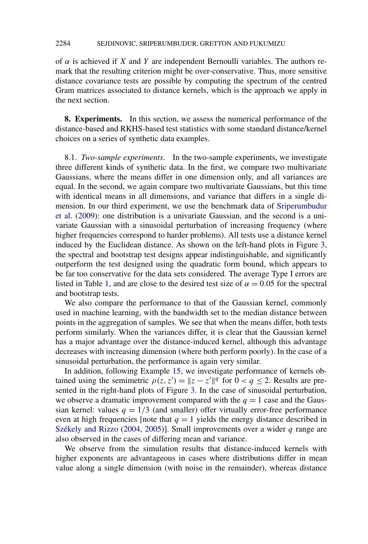## <span id="page-21-0"></span>2284 SEJDINOVIC, SRIPERUMBUDUR, GRETTON AND FUKUMIZU

of *α* is achieved if *X* and *Y* are independent Bernoulli variables. The authors remark that the resulting criterion might be over-conservative. Thus, more sensitive distance covariance tests are possible by computing the spectrum of the centred Gram matrices associated to distance kernels, which is the approach we apply in the next section.

**8. Experiments.** In this section, we assess the numerical performance of the distance-based and RKHS-based test statistics with some standard distance/kernel choices on a series of synthetic data examples.

8.1. *Two-sample experiments*. In the two-sample experiments, we investigate three different kinds of synthetic data. In the first, we compare two multivariate Gaussians, where the means differ in one dimension only, and all variances are equal. In the second, we again compare two multivariate Gaussians, but this time with identical means in all dimensions, and variance that differs in a single dimension. In our third experiment, we use the benchmark data of [Sriperumbudur](#page-28-0) [et al.](#page-28-0) [\(2009\)](#page-28-0): one distribution is a univariate Gaussian, and the second is a univariate Gaussian with a sinusoidal perturbation of increasing frequency (where higher frequencies correspond to harder problems). All tests use a distance kernel induced by the Euclidean distance. As shown on the left-hand plots in Figure [3,](#page-22-0) the spectral and bootstrap test designs appear indistinguishable, and significantly outperform the test designed using the quadratic form bound, which appears to be far too conservative for the data sets considered. The average Type I errors are listed in Table [1,](#page-23-0) and are close to the desired test size of  $\alpha = 0.05$  for the spectral and bootstrap tests.

We also compare the performance to that of the Gaussian kernel, commonly used in machine learning, with the bandwidth set to the median distance between points in the aggregation of samples. We see that when the means differ, both tests perform similarly. When the variances differ, it is clear that the Gaussian kernel has a major advantage over the distance-induced kernel, although this advantage decreases with increasing dimension (where both perform poorly). In the case of a sinusoidal perturbation, the performance is again very similar.

In addition, following Example [15,](#page-9-0) we investigate performance of kernels obtained using the semimetric  $\rho(z, z') = ||z - z'||^q$  for  $0 < q \le 2$ . Results are presented in the right-hand plots of Figure [3.](#page-22-0) In the case of sinusoidal perturbation, we observe a dramatic improvement compared with the  $q = 1$  case and the Gaussian kernel: values  $q = 1/3$  (and smaller) offer virtually error-free performance even at high frequencies [note that  $q = 1$  yields the energy distance described in [Székely and Rizzo](#page-28-0) [\(2004, 2005\)](#page-28-0)]. Small improvements over a wider *q* range are also observed in the cases of differing mean and variance.

We observe from the simulation results that distance-induced kernels with higher exponents are advantageous in cases where distributions differ in mean value along a single dimension (with noise in the remainder), whereas distance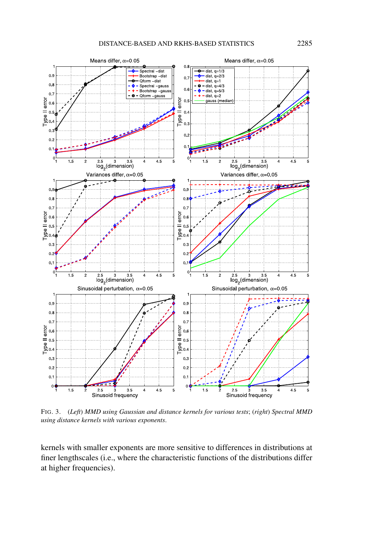<span id="page-22-0"></span>

FIG. 3. (*Left*) *MMD using Gaussian and distance kernels for various tests*; (*right*) *Spectral MMD using distance kernels with various exponents*.

kernels with smaller exponents are more sensitive to differences in distributions at finer lengthscales (i.e., where the characteristic functions of the distributions differ at higher frequencies).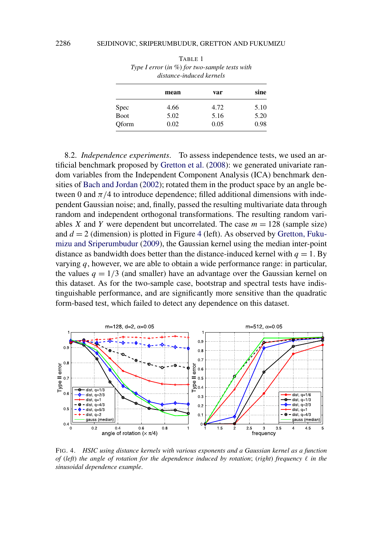<span id="page-23-0"></span>

|       | mean | var  | sine |
|-------|------|------|------|
| Spec  | 4.66 | 4.72 | 5.10 |
| Boot  | 5.02 | 5.16 | 5.20 |
| Oform | 0.02 | 0.05 | 0.98 |

TABLE 1 *Type I error* (*in %*) *for two-sample tests with distance-induced kernels*

8.2. *Independence experiments*. To assess independence tests, we used an artificial benchmark proposed by [Gretton et al.](#page-27-0) [\(2008\)](#page-27-0): we generated univariate random variables from the Independent Component Analysis (ICA) benchmark densities of [Bach and Jordan](#page-27-0) [\(2002\)](#page-27-0); rotated them in the product space by an angle between 0 and  $\pi/4$  to introduce dependence; filled additional dimensions with independent Gaussian noise; and, finally, passed the resulting multivariate data through random and independent orthogonal transformations. The resulting random variables *X* and *Y* were dependent but uncorrelated. The case  $m = 128$  (sample size) and  $d = 2$  (dimension) is plotted in Figure 4 (left). As observed by [Gretton, Fuku](#page-27-0)[mizu and Sriperumbudur](#page-27-0) [\(2009\)](#page-27-0), the Gaussian kernel using the median inter-point distance as bandwidth does better than the distance-induced kernel with  $q = 1$ . By varying *q*, however, we are able to obtain a wide performance range: in particular, the values  $q = 1/3$  (and smaller) have an advantage over the Gaussian kernel on this dataset. As for the two-sample case, bootstrap and spectral tests have indistinguishable performance, and are significantly more sensitive than the quadratic form-based test, which failed to detect any dependence on this dataset.



FIG. 4. *HSIC using distance kernels with various exponents and a Gaussian kernel as a function of* (*left*) *the angle of rotation for the dependence induced by rotation*; (*right*) *frequency*  $\ell$  *in the sinusoidal dependence example*.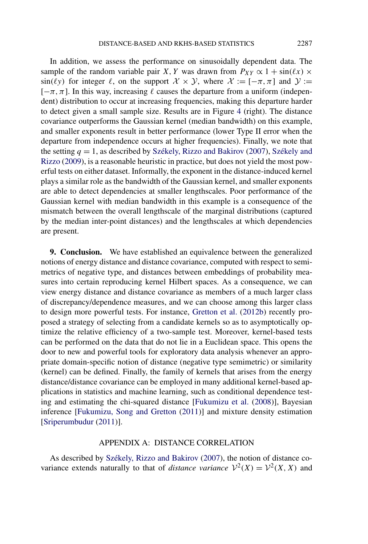<span id="page-24-0"></span>In addition, we assess the performance on sinusoidally dependent data. The sample of the random variable pair *X*, *Y* was drawn from  $P_{XY} \propto 1 + \sin(\ell x) \times$  $\sin(\ell y)$  for integer  $\ell$ , on the support  $\mathcal{X} \times \mathcal{Y}$ , where  $\mathcal{X} := [-\pi, \pi]$  and  $\mathcal{Y} :=$  $[-\pi, \pi]$ . In this way, increasing  $\ell$  causes the departure from a uniform (independent) distribution to occur at increasing frequencies, making this departure harder to detect given a small sample size. Results are in Figure [4](#page-23-0) (right). The distance covariance outperforms the Gaussian kernel (median bandwidth) on this example, and smaller exponents result in better performance (lower Type II error when the departure from independence occurs at higher frequencies). Finally, we note that the setting *q* = 1, as described by [Székely, Rizzo and Bakirov](#page-28-0) [\(2007\)](#page-28-0), [Székely and](#page-28-0) [Rizzo](#page-28-0) [\(2009\)](#page-28-0), is a reasonable heuristic in practice, but does not yield the most powerful tests on either dataset. Informally, the exponent in the distance-induced kernel plays a similar role as the bandwidth of the Gaussian kernel, and smaller exponents are able to detect dependencies at smaller lengthscales. Poor performance of the Gaussian kernel with median bandwidth in this example is a consequence of the mismatch between the overall lengthscale of the marginal distributions (captured by the median inter-point distances) and the lengthscales at which dependencies

are present.

**9. Conclusion.** We have established an equivalence between the generalized notions of energy distance and distance covariance, computed with respect to semimetrics of negative type, and distances between embeddings of probability measures into certain reproducing kernel Hilbert spaces. As a consequence, we can view energy distance and distance covariance as members of a much larger class of discrepancy/dependence measures, and we can choose among this larger class to design more powerful tests. For instance, [Gretton et al.](#page-27-0) [\(2012b\)](#page-27-0) recently proposed a strategy of selecting from a candidate kernels so as to asymptotically optimize the relative efficiency of a two-sample test. Moreover, kernel-based tests can be performed on the data that do not lie in a Euclidean space. This opens the door to new and powerful tools for exploratory data analysis whenever an appropriate domain-specific notion of distance (negative type semimetric) or similarity (kernel) can be defined. Finally, the family of kernels that arises from the energy distance/distance covariance can be employed in many additional kernel-based applications in statistics and machine learning, such as conditional dependence testing and estimating the chi-squared distance [\[Fukumizu et al.](#page-27-0) [\(2008\)](#page-27-0)], Bayesian inference [\[Fukumizu, Song and Gretton](#page-27-0) [\(2011\)](#page-27-0)] and mixture density estimation [\[Sriperumbudur](#page-28-0) [\(2011\)](#page-28-0)].

# APPENDIX A: DISTANCE CORRELATION

As described by [Székely, Rizzo and Bakirov](#page-28-0) [\(2007\)](#page-28-0), the notion of distance covariance extends naturally to that of *distance variance*  $V^2(X) = V^2(X, X)$  and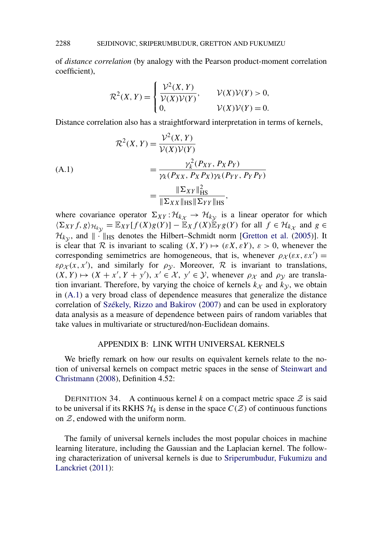of *distance correlation* (by analogy with the Pearson product-moment correlation coefficient),

$$
\mathcal{R}^2(X,Y) = \begin{cases} \frac{\mathcal{V}^2(X,Y)}{\mathcal{V}(X)\mathcal{V}(Y)}, & \mathcal{V}(X)\mathcal{V}(Y) > 0, \\ 0, & \mathcal{V}(X)\mathcal{V}(Y) = 0. \end{cases}
$$

Distance correlation also has a straightforward interpretation in terms of kernels,

$$
\mathcal{R}^2(X, Y) = \frac{\mathcal{V}^2(X, Y)}{\mathcal{V}(X)\mathcal{V}(Y)}
$$
\n
$$
= \frac{\gamma_k^2 (P_{XY}, P_X P_Y)}{\gamma_k (P_{XX}, P_X P_X)\gamma_k (P_{YY}, P_Y P_Y)}
$$
\n
$$
= \frac{\|\Sigma_{XY}\|_{\text{HS}}^2}{\|\Sigma_{XX}\|_{\text{HS}} \|\Sigma_{YY}\|_{\text{HS}}},
$$

where covariance operator  $\Sigma_{XY} : \mathcal{H}_{k_X} \to \mathcal{H}_{k_Y}$  is a linear operator for which  $\langle \Sigma_{XY} f, g \rangle_{\mathcal{H}_{k_{\mathcal{N}}}} = \mathbb{E}_{XY} [f(X)g(Y)] - \mathbb{E}_{X} f(X) \mathbb{E}_{Y} g(Y)$  for all  $f \in \mathcal{H}_{k_{\mathcal{N}}}$  and  $g \in$  $\mathcal{H}_{k_{\rm V}}$ , and  $\|\cdot\|_{\rm HS}$  denotes the Hilbert–Schmidt norm [\[Gretton et al.](#page-27-0) [\(2005\)](#page-27-0)]. It is clear that R is invariant to scaling  $(X, Y) \mapsto (\varepsilon X, \varepsilon Y)$ ,  $\varepsilon > 0$ , whenever the corresponding semimetrics are homogeneous, that is, whenever  $\rho_X(\varepsilon x, \varepsilon x') =$  $\varepsilon \rho_X(x, x')$ , and similarly for  $\rho_Y$ . Moreover, R is invariant to translations,  $(X, Y) \mapsto (X + x', Y + y'), x' \in \mathcal{X}, y' \in \mathcal{Y}, \text{ whenever } \rho_{\mathcal{X}} \text{ and } \rho_{\mathcal{Y}} \text{ are translational.}$ tion invariant. Therefore, by varying the choice of kernels  $k_X$  and  $k_Y$ , we obtain in (A.1) a very broad class of dependence measures that generalize the distance correlation of [Székely, Rizzo and Bakirov](#page-28-0) [\(2007\)](#page-28-0) and can be used in exploratory data analysis as a measure of dependence between pairs of random variables that take values in multivariate or structured/non-Euclidean domains.

# APPENDIX B: LINK WITH UNIVERSAL KERNELS

We briefly remark on how our results on equivalent kernels relate to the notion of universal kernels on compact metric spaces in the sense of [Steinwart and](#page-28-0) [Christmann](#page-28-0) [\(2008\)](#page-28-0), Definition 4.52:

DEFINITION 34. A continuous kernel  $k$  on a compact metric space  $\mathcal Z$  is said to be universal if its RKHS  $\mathcal{H}_k$  is dense in the space  $C(\mathcal{Z})$  of continuous functions on  $Z$ , endowed with the uniform norm.

The family of universal kernels includes the most popular choices in machine learning literature, including the Gaussian and the Laplacian kernel. The following characterization of universal kernels is due to [Sriperumbudur, Fukumizu and](#page-28-0) [Lanckriet](#page-28-0) [\(2011\)](#page-28-0):

<span id="page-25-0"></span>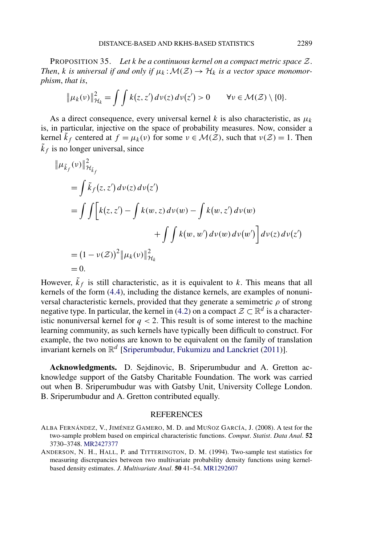<span id="page-26-0"></span>PROPOSITION 35. *Let k be a continuous kernel on a compact metric space* Z. *Then, k is universal if and only if*  $\mu_k : \mathcal{M}(\mathcal{Z}) \to \mathcal{H}_k$  *is a vector space monomorphism*, *that is*,

$$
\|\mu_k(\nu)\|_{\mathcal{H}_k}^2 = \int \int k(z, z') d\nu(z) d\nu(z') > 0 \qquad \forall \nu \in \mathcal{M}(\mathcal{Z}) \setminus \{0\}.
$$

As a direct consequence, every universal kernel  $k$  is also characteristic, as  $\mu_k$ is, in particular, injective on the space of probability measures. Now, consider a kernel  $\tilde{k}_f$  centered at  $f = \mu_k(v)$  for some  $v \in M(\mathcal{Z})$ , such that  $v(\mathcal{Z}) = 1$ . Then  $\tilde{k}_f$  is no longer universal, since

$$
\| \mu_{\tilde{k}_f}(v) \|_{\mathcal{H}_{\tilde{k}_f}}^2
$$
  
= 
$$
\int \tilde{k}_f(z, z') d\nu(z) d\nu(z')
$$
  
= 
$$
\int \int \left[ k(z, z') - \int k(w, z) d\nu(w) - \int k(w, z') d\nu(w) \right. \left. + \int \int k(w, w') d\nu(w) d\nu(w') \right] d\nu(z) d\nu(z')
$$
  
= 
$$
(1 - \nu(z))^2 \| \mu_k(v) \|_{\mathcal{H}_k}^2
$$
  
= 0.

However,  $\tilde{k}_f$  is still characteristic, as it is equivalent to k. This means that all kernels of the form [\(4.4\)](#page-10-0), including the distance kernels, are examples of nonuniversal characteristic kernels, provided that they generate a semimetric *ρ* of strong negative type. In particular, the kernel in [\(4.2\)](#page-9-0) on a compact  $\mathcal{Z} \subset \mathbb{R}^d$  is a characteristic nonuniversal kernel for  $q < 2$ . This result is of some interest to the machine learning community, as such kernels have typically been difficult to construct. For example, the two notions are known to be equivalent on the family of translation invariant kernels on R*<sup>d</sup>* [\[Sriperumbudur, Fukumizu and Lanckriet](#page-28-0) [\(2011\)](#page-28-0)].

**Acknowledgments.** D. Sejdinovic, B. Sriperumbudur and A. Gretton acknowledge support of the Gatsby Charitable Foundation. The work was carried out when B. Sriperumbudur was with Gatsby Unit, University College London. B. Sriperumbudur and A. Gretton contributed equally.

### REFERENCES

ALBA FERNÁNDEZ, V., JIMÉNEZ GAMERO, M. D. and MUÑOZ GARCÍA, J. (2008). A test for the two-sample problem based on empirical characteristic functions. *Comput*. *Statist*. *Data Anal*. **52** 3730–3748. [MR2427377](http://www.ams.org/mathscinet-getitem?mr=2427377)

ANDERSON, N. H., HALL, P. and TITTERINGTON, D. M. (1994). Two-sample test statistics for measuring discrepancies between two multivariate probability density functions using kernelbased density estimates. *J*. *Multivariate Anal*. **50** 41–54. [MR1292607](http://www.ams.org/mathscinet-getitem?mr=1292607)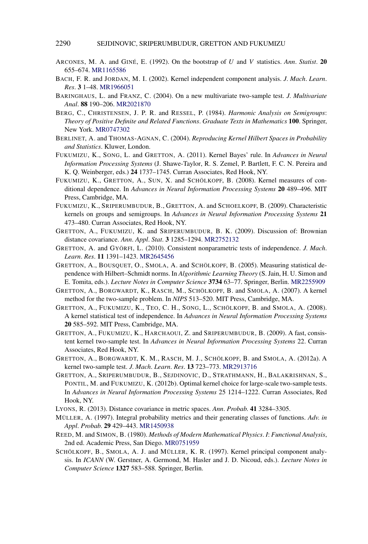#### <span id="page-27-0"></span>2290 SEJDINOVIC, SRIPERUMBUDUR, GRETTON AND FUKUMIZU

- ARCONES, M. A. and GINÉ, E. (1992). On the bootstrap of *U* and *V* statistics. *Ann*. *Statist*. **20** 655–674. [MR1165586](http://www.ams.org/mathscinet-getitem?mr=1165586)
- BACH, F. R. and JORDAN, M. I. (2002). Kernel independent component analysis. *J*. *Mach*. *Learn*. *Res*. **3** 1–48. [MR1966051](http://www.ams.org/mathscinet-getitem?mr=1966051)
- BARINGHAUS, L. and FRANZ, C. (2004). On a new multivariate two-sample test. *J*. *Multivariate Anal*. **88** 190–206. [MR2021870](http://www.ams.org/mathscinet-getitem?mr=2021870)
- BERG, C., CHRISTENSEN, J. P. R. and RESSEL, P. (1984). *Harmonic Analysis on Semigroups*: *Theory of Positive Definite and Related Functions*. *Graduate Texts in Mathematics* **100**. Springer, New York. [MR0747302](http://www.ams.org/mathscinet-getitem?mr=0747302)
- BERLINET, A. and THOMAS-AGNAN, C. (2004). *Reproducing Kernel Hilbert Spaces in Probability and Statistics*. Kluwer, London.
- FUKUMIZU, K., SONG, L. and GRETTON, A. (2011). Kernel Bayes' rule. In *Advances in Neural Information Processing Systems* (J. Shawe-Taylor, R. S. Zemel, P. Bartlett, F. C. N. Pereira and K. Q. Weinberger, eds.) **24** 1737–1745. Curran Associates, Red Hook, NY.
- FUKUMIZU, K., GRETTON, A., SUN, X. and SCHÖLKOPF, B. (2008). Kernel measures of conditional dependence. In *Advances in Neural Information Processing Systems* **20** 489–496. MIT Press, Cambridge, MA.
- FUKUMIZU, K., SRIPERUMBUDUR, B., GRETTON, A. and SCHOELKOPF, B. (2009). Characteristic kernels on groups and semigroups. In *Advances in Neural Information Processing Systems* **21** 473–480. Curran Associates, Red Hook, NY.
- GRETTON, A., FUKUMIZU, K. and SRIPERUMBUDUR, B. K. (2009). Discussion of: Brownian distance covariance. *Ann*. *Appl*. *Stat*. **3** 1285–1294. [MR2752132](http://www.ams.org/mathscinet-getitem?mr=2752132)
- GRETTON, A. and GYÖRFI, L. (2010). Consistent nonparametric tests of independence. *J*. *Mach*. *Learn*. *Res*. **11** 1391–1423. [MR2645456](http://www.ams.org/mathscinet-getitem?mr=2645456)
- GRETTON, A., BOUSQUET, O., SMOLA, A. and SCHÖLKOPF, B. (2005). Measuring statistical dependence with Hilbert–Schmidt norms. In *Algorithmic Learning Theory* (S. Jain, H. U. Simon and E. Tomita, eds.). *Lecture Notes in Computer Science* **3734** 63–77. Springer, Berlin. [MR2255909](http://www.ams.org/mathscinet-getitem?mr=2255909)
- GRETTON, A., BORGWARDT, K., RASCH, M., SCHÖLKOPF, B. and SMOLA, A. (2007). A kernel method for the two-sample problem. In *NIPS* 513–520. MIT Press, Cambridge, MA.
- GRETTON, A., FUKUMIZU, K., TEO, C. H., SONG, L., SCHÖLKOPF, B. and SMOLA, A. (2008). A kernel statistical test of independence. In *Advances in Neural Information Processing Systems* **20** 585–592. MIT Press, Cambridge, MA.
- GRETTON, A., FUKUMIZU, K., HARCHAOUI, Z. and SRIPERUMBUDUR, B. (2009). A fast, consistent kernel two-sample test. In *Advances in Neural Information Processing Systems* 22. Curran Associates, Red Hook, NY.
- GRETTON, A., BORGWARDT, K. M., RASCH, M. J., SCHÖLKOPF, B. and SMOLA, A. (2012a). A kernel two-sample test. *J*. *Mach*. *Learn*. *Res*. **13** 723–773. [MR2913716](http://www.ams.org/mathscinet-getitem?mr=2913716)
- GRETTON, A., SRIPERUMBUDUR, B., SEJDINOVIC, D., STRATHMANN, H., BALAKRISHNAN, S., PONTIL, M. and FUKUMIZU, K. (2012b). Optimal kernel choice for large-scale two-sample tests. In *Advances in Neural Information Processing Systems* 25 1214–1222. Curran Associates, Red Hook, NY.
- LYONS, R. (2013). Distance covariance in metric spaces. *Ann*. *Probab*. **41** 3284–3305.
- MÜLLER, A. (1997). Integral probability metrics and their generating classes of functions. *Adv*. *in Appl*. *Probab*. **29** 429–443. [MR1450938](http://www.ams.org/mathscinet-getitem?mr=1450938)
- REED, M. and SIMON, B. (1980). *Methods of Modern Mathematical Physics*. *I*: *Functional Analysis*, 2nd ed. Academic Press, San Diego. [MR0751959](http://www.ams.org/mathscinet-getitem?mr=0751959)
- SCHÖLKOPF, B., SMOLA, A. J. and MÜLLER, K. R. (1997). Kernel principal component analysis. In *ICANN* (W. Gerstner, A. Germond, M. Hasler and J. D. Nicoud, eds.). *Lecture Notes in Computer Science* **1327** 583–588. Springer, Berlin.